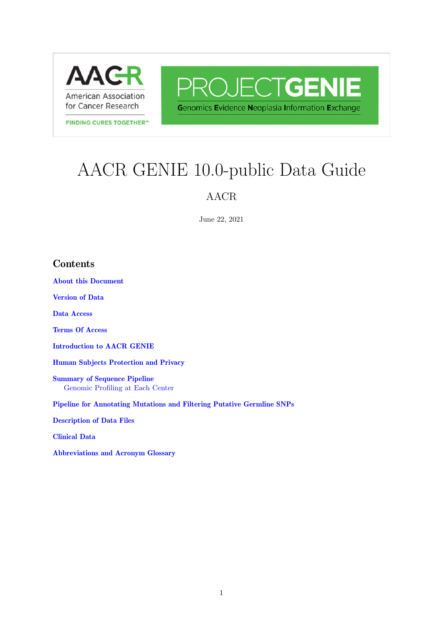<span id="page-0-0"></span>

**FINDING CURES TOGETHER"** 

PROJECTGENIE **Genomics Evidence Neoplasia Information Exchange** 

# AACR GENIE 10.0-public Data Guide

### AACR

June 22, 2021

### Contents

[About this Document](#page-0-0)

[Version of Data](#page-1-0)

[Data Access](#page-1-1)

[Terms Of Access](#page-1-2)

[Introduction to AACR GENIE](#page-1-3)

[Human Subjects Protection and Privacy](#page-2-0)

[Summary of Sequence Pipeline](#page-2-1) [Genomic Profiling at Each Center](#page-7-0)

[Pipeline for Annotating Mutations and Filtering Putative Germline SNPs](#page-15-0)

[Description of Data Files](#page-18-0)

[Clinical Data](#page-19-0)

[Abbreviations and Acronym Glossary](#page-22-0)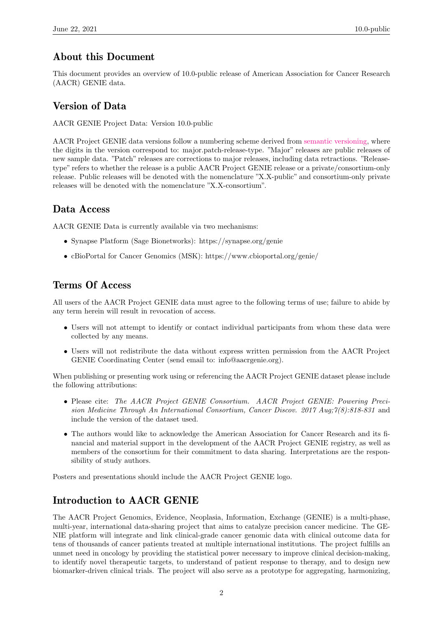### <span id="page-1-0"></span>About this Document

This document provides an overview of 10.0-public release of American Association for Cancer Research (AACR) GENIE data.

### <span id="page-1-1"></span>Version of Data

AACR GENIE Project Data: Version 10.0-public

AACR Project GENIE data versions follow a numbering scheme derived from [semantic versioning,](https://semver.org/) where the digits in the version correspond to: major.patch-release-type. "Major" releases are public releases of new sample data. "Patch" releases are corrections to major releases, including data retractions. "Releasetype" refers to whether the release is a public AACR Project GENIE release or a private/consortium-only release. Public releases will be denoted with the nomenclature "X.X-public" and consortium-only private releases will be denoted with the nomenclature "X.X-consortium".

### <span id="page-1-2"></span>Data Access

AACR GENIE Data is currently available via two mechanisms:

- Synapse Platform (Sage Bionetworks): https://synapse.org/genie
- cBioPortal for Cancer Genomics (MSK): https://www.cbioportal.org/genie/

### <span id="page-1-3"></span>Terms Of Access

All users of the AACR Project GENIE data must agree to the following terms of use; failure to abide by any term herein will result in revocation of access.

- Users will not attempt to identify or contact individual participants from whom these data were collected by any means.
- Users will not redistribute the data without express written permission from the AACR Project GENIE Coordinating Center (send email to: info@aacrgenie.org).

When publishing or presenting work using or referencing the AACR Project GENIE dataset please include the following attributions:

- Please cite: The AACR Project GENIE Consortium. AACR Project GENIE: Powering Precision Medicine Through An International Consortium, Cancer Discov. 2017 Aug;7(8):818-831 and include the version of the dataset used.
- The authors would like to acknowledge the American Association for Cancer Research and its financial and material support in the development of the AACR Project GENIE registry, as well as members of the consortium for their commitment to data sharing. Interpretations are the responsibility of study authors.

Posters and presentations should include the AACR Project GENIE logo.

### Introduction to AACR GENIE

The AACR Project Genomics, Evidence, Neoplasia, Information, Exchange (GENIE) is a multi-phase, multi-year, international data-sharing project that aims to catalyze precision cancer medicine. The GE-NIE platform will integrate and link clinical-grade cancer genomic data with clinical outcome data for tens of thousands of cancer patients treated at multiple international institutions. The project fulfills an unmet need in oncology by providing the statistical power necessary to improve clinical decision-making, to identify novel therapeutic targets, to understand of patient response to therapy, and to design new biomarker-driven clinical trials. The project will also serve as a prototype for aggregating, harmonizing,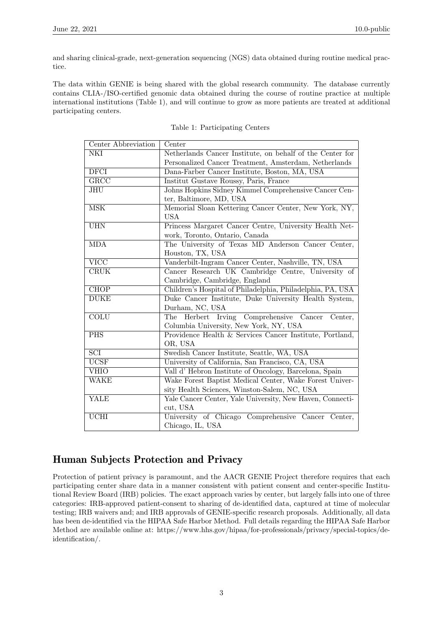and sharing clinical-grade, next-generation sequencing (NGS) data obtained during routine medical practice.

The data within GENIE is being shared with the global research community. The database currently contains CLIA-/ISO-certified genomic data obtained during the course of routine practice at multiple international institutions (Table 1), and will continue to grow as more patients are treated at additional participating centers.

<span id="page-2-0"></span>

| Center Abbreviation      | Center                                                                                       |
|--------------------------|----------------------------------------------------------------------------------------------|
| NKI                      | Netherlands Cancer Institute, on behalf of the Center for                                    |
|                          | Personalized Cancer Treatment, Amsterdam, Netherlands                                        |
| $\overline{\rm DFCI}$    | Dana-Farber Cancer Institute, Boston, MA, USA                                                |
| GRCC                     | Institut Gustave Roussy, Paris, France                                                       |
| <b>JHU</b>               | Johns Hopkins Sidney Kimmel Comprehensive Cancer Cen-                                        |
|                          | ter, Baltimore, MD, USA                                                                      |
| $\overline{\text{MSK}}$  | Memorial Sloan Kettering Cancer Center, New York, NY,<br><b>USA</b>                          |
| <b>UHN</b>               | Princess Margaret Cancer Centre, University Health Net-                                      |
|                          | work, Toronto, Ontario, Canada                                                               |
| <b>MDA</b>               | The University of Texas MD Anderson Cancer Center,                                           |
|                          | Houston, TX, USA                                                                             |
| $\overline{\text{VICC}}$ | Vanderbilt-Ingram Cancer Center, Nashville, TN, USA                                          |
| CRUK                     | Cancer Research UK Cambridge Centre, University of                                           |
|                          | Cambridge, Cambridge, England                                                                |
| CHOP                     | Children's Hospital of Philadelphia, Philadelphia, PA, USA                                   |
| <b>DUKE</b>              | Duke Cancer Institute, Duke University Health System,                                        |
|                          | Durham, NC, USA                                                                              |
| $\overline{\text{COLU}}$ | The Herbert Irving Comprehensive Cancer<br>Center,<br>Columbia University, New York, NY, USA |
| <b>PHS</b>               | Providence Health & Services Cancer Institute, Portland,                                     |
|                          | OR, USA                                                                                      |
| $\overline{SCI}$         | Swedish Cancer Institute, Seattle, WA, USA                                                   |
| <b>UCSF</b>              | University of California, San Francisco, CA, USA                                             |
| <b>VHIO</b>              | Vall d'Hebron Institute of Oncology, Barcelona, Spain                                        |
| WAKE                     | Wake Forest Baptist Medical Center, Wake Forest Univer-                                      |
|                          | sity Health Sciences, Winston-Salem, NC, USA                                                 |
| YALE                     | Yale Cancer Center, Yale University, New Haven, Connecti-                                    |
|                          | cut, USA                                                                                     |
| $\overline{\text{UCHI}}$ | University of Chicago Comprehensive Cancer Center,                                           |
|                          | Chicago, IL, USA                                                                             |

|  |  | Table 1: Participating Centers |  |
|--|--|--------------------------------|--|
|--|--|--------------------------------|--|

### <span id="page-2-1"></span>Human Subjects Protection and Privacy

Protection of patient privacy is paramount, and the AACR GENIE Project therefore requires that each participating center share data in a manner consistent with patient consent and center-specific Institutional Review Board (IRB) policies. The exact approach varies by center, but largely falls into one of three categories: IRB-approved patient-consent to sharing of de-identified data, captured at time of molecular testing; IRB waivers and; and IRB approvals of GENIE-specific research proposals. Additionally, all data has been de-identified via the HIPAA Safe Harbor Method. Full details regarding the HIPAA Safe Harbor Method are available online at: https://www.hhs.gov/hipaa/for-professionals/privacy/special-topics/deidentification/.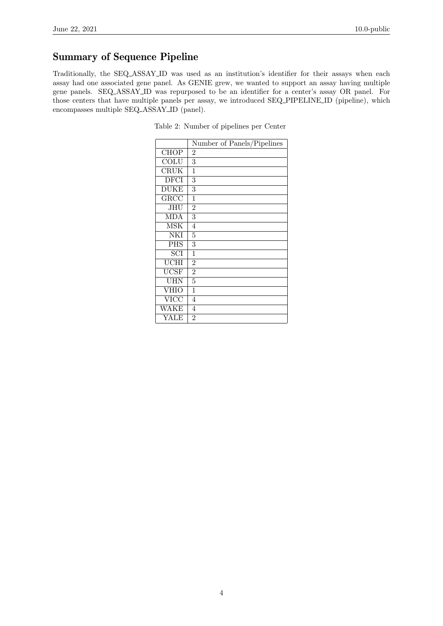### Summary of Sequence Pipeline

Traditionally, the SEQ ASSAY ID was used as an institution's identifier for their assays when each assay had one associated gene panel. As GENIE grew, we wanted to support an assay having multiple gene panels. SEQ ASSAY ID was repurposed to be an identifier for a center's assay OR panel. For those centers that have multiple panels per assay, we introduced SEQ PIPELINE ID (pipeline), which encompasses multiple SEQ ASSAY ID (panel).

| Number of Panels/Pipelines<br>CHOP<br>$\overline{2}$<br>COLU<br>3<br><b>CRUK</b><br>1<br>DFCI<br>3 |  |
|----------------------------------------------------------------------------------------------------|--|
|                                                                                                    |  |
|                                                                                                    |  |
|                                                                                                    |  |
|                                                                                                    |  |
|                                                                                                    |  |
| <b>DUKE</b><br>3                                                                                   |  |
| GRCC<br>1                                                                                          |  |
| <b>JHU</b><br>$\overline{2}$                                                                       |  |
| 3<br><b>MDA</b>                                                                                    |  |
| <b>MSK</b><br>4                                                                                    |  |
| <b>NKI</b><br>5                                                                                    |  |
| <b>PHS</b><br>3                                                                                    |  |
| SCI<br>1                                                                                           |  |
| $\overline{\text{U}}\text{CHI}$<br>$\overline{2}$                                                  |  |
| $\overline{\text{UCSF}}$<br>$\overline{2}$                                                         |  |
| <b>UHN</b><br>5                                                                                    |  |
| <b>VHIO</b><br>1                                                                                   |  |
| <b>VICC</b><br>4                                                                                   |  |
| WAKE<br>4                                                                                          |  |
| YALE<br>$\overline{2}$                                                                             |  |

Table 2: Number of pipelines per Center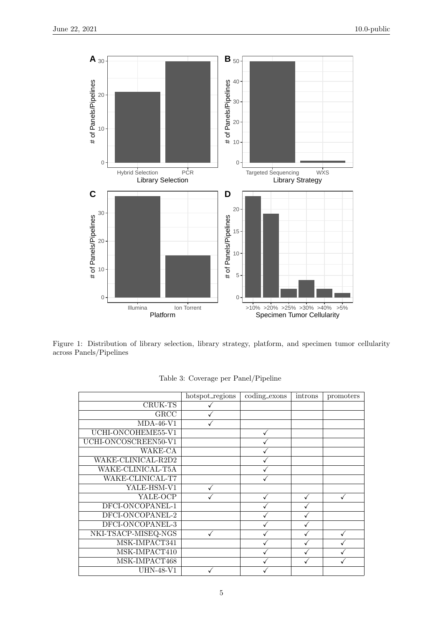

Figure 1: Distribution of library selection, library strategy, platform, and specimen tumor cellularity across Panels/Pipelines

|                      | hotspot_regions | coding_exons | introns | promoters |
|----------------------|-----------------|--------------|---------|-----------|
| CRUK-TS              |                 |              |         |           |
| GRCC                 |                 |              |         |           |
| $MDA-46-V1$          |                 |              |         |           |
| UCHI-ONCOHEME55-V1   |                 |              |         |           |
| UCHI-ONCOSCREEN50-V1 |                 |              |         |           |
| WAKE-CA              |                 |              |         |           |
| WAKE-CLINICAL-R2D2   |                 |              |         |           |
| WAKE-CLINICAL-T5A    |                 |              |         |           |
| WAKE-CLINICAL-T7     |                 |              |         |           |
| YALE-HSM-V1          |                 |              |         |           |
| YALE-OCP             |                 |              |         |           |
| DFCI-ONCOPANEL-1     |                 |              |         |           |
| DFCI-ONCOPANEL-2     |                 |              |         |           |
| DFCI-ONCOPANEL-3     |                 |              |         |           |
| NKI-TSACP-MISEQ-NGS  |                 |              |         |           |
| MSK-IMPACT341        |                 |              |         |           |
| MSK-IMPACT410        |                 |              |         |           |
| MSK-IMPACT468        |                 |              |         |           |
| UHN-48-V1            |                 |              |         |           |

Table 3: Coverage per Panel/Pipeline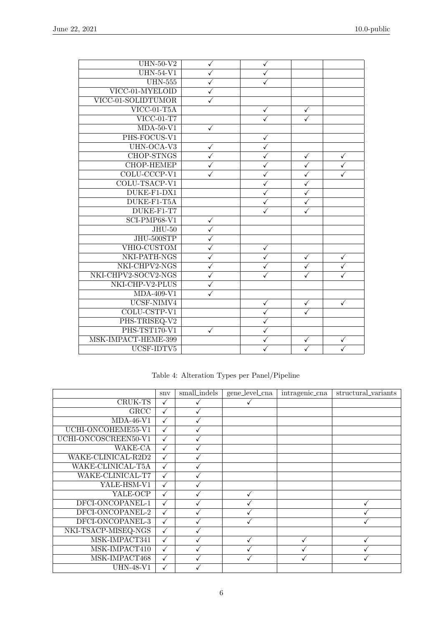| $UHN-50-V2$         | ✓            | $\checkmark$ |                         |              |
|---------------------|--------------|--------------|-------------------------|--------------|
| $UHN-54-V1$         | ✓            | ✓            |                         |              |
| <b>UHN-555</b>      | ✓            | $\checkmark$ |                         |              |
| VICC-01-MYELOID     |              |              |                         |              |
| VICC-01-SOLIDTUMOR  |              |              |                         |              |
| $VICC-01-T5A$       |              | $\checkmark$ | ✓                       |              |
| $VICC-01-T7$        |              |              |                         |              |
| $MDA-50-V1$         | ✓            |              |                         |              |
| PHS-FOCUS-V1        |              | ✓            |                         |              |
| UHN-OCA-V3          | ✓            |              |                         |              |
| <b>CHOP-STNGS</b>   | ✓            | ✓            | $\checkmark$            | ✓            |
| <b>CHOP-HEMEP</b>   |              |              | $\overline{\checkmark}$ |              |
| COLU-CCCP-V1        |              |              | $\checkmark$            |              |
| COLU-TSACP-V1       |              |              | $\checkmark$            |              |
| DUKE-F1-DX1         |              |              | $\checkmark$            |              |
| DUKE-F1-T5A         |              |              | $\checkmark$            |              |
| DUKE-F1-T7          |              |              | ✓                       |              |
| $SCI-PMP68-V1$      | $\checkmark$ |              |                         |              |
| $JHU-50$            | √            |              |                         |              |
| JHU-500STP          | ✓            |              |                         |              |
| VHIO-CUSTOM         | ✓            | ✓            |                         |              |
| NKI-PATH-NGS        |              |              | $\checkmark$            | ✓            |
| NKI-CHPV2-NGS       | ✓            | ✓            | $\checkmark$            | $\checkmark$ |
| NKI-CHPV2-SOCV2-NGS | ✓            |              | $\checkmark$            |              |
| NKI-CHP-V2-PLUS     |              |              |                         |              |
| $MDA-409-V1$        | ✓            |              |                         |              |
| UCSF-NIMV4          |              | $\checkmark$ | $\checkmark$            | $\checkmark$ |
| COLU-CSTP-V1        |              |              | ✓                       |              |
| PHS-TRISEQ-V2       |              | ✓            |                         |              |
| PHS-TST170-V1       | ✓            | $\checkmark$ |                         |              |
| MSK-IMPACT-HEME-399 |              |              |                         |              |
| UCSF-IDTV5          |              |              |                         |              |

Table 4: Alteration Types per Panel/Pipeline

|                      | snv | small_indels | gene_level_cna | intragenic_cna | structural_variants |
|----------------------|-----|--------------|----------------|----------------|---------------------|
| CRUK-TS              |     |              |                |                |                     |
| GRCC                 | ✓   |              |                |                |                     |
| $MDA-46-V1$          |     |              |                |                |                     |
| UCHI-ONCOHEME55-V1   |     |              |                |                |                     |
| UCHI-ONCOSCREEN50-V1 |     |              |                |                |                     |
| WAKE-CA              |     |              |                |                |                     |
| WAKE-CLINICAL-R2D2   |     |              |                |                |                     |
| WAKE-CLINICAL-T5A    |     |              |                |                |                     |
| WAKE-CLINICAL-T7     | ✓   |              |                |                |                     |
| YALE-HSM-V1          |     |              |                |                |                     |
| YALE-OCP             |     |              |                |                |                     |
| DFCI-ONCOPANEL-1     |     |              |                |                |                     |
| DFCI-ONCOPANEL-2     |     |              |                |                |                     |
| DFCI-ONCOPANEL-3     |     |              |                |                |                     |
| NKI-TSACP-MISEQ-NGS  |     |              |                |                |                     |
| MSK-IMPACT341        | ✓   |              |                |                |                     |
| MSK-IMPACT410        |     |              |                |                |                     |
| MSK-IMPACT468        |     |              |                |                |                     |
| <b>UHN-48-V1</b>     |     |              |                |                |                     |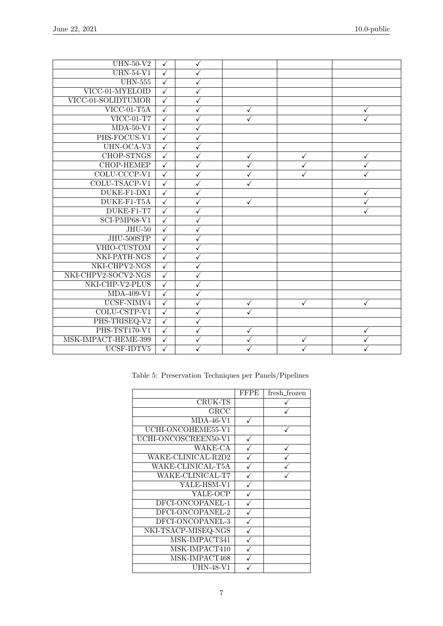| $UHN-50-V2$                    | $\checkmark$            | $\checkmark$            |              |              |   |
|--------------------------------|-------------------------|-------------------------|--------------|--------------|---|
| $UHN-54-V1$                    | $\overline{\checkmark}$ | $\checkmark$            |              |              |   |
| <b>UHN-555</b>                 | $\checkmark$            | $\checkmark$            |              |              |   |
| VICC-01-MYELOID                | $\checkmark$            | $\checkmark$            |              |              |   |
| VICC-01-SOLIDTUMOR             | $\overline{\checkmark}$ | $\checkmark$            |              |              |   |
| $VICC-01-T5A$                  | $\overline{\checkmark}$ | $\checkmark$            | ✓            |              | ✓ |
| $\overline{\text{VICC-01-T7}}$ | $\checkmark$            | ✓                       | $\checkmark$ |              |   |
| $MDA-50-V1$                    | $\checkmark$            | $\checkmark$            |              |              |   |
| PHS-FOCUS-V1                   | $\overline{\checkmark}$ | $\checkmark$            |              |              |   |
| UHN-OCA-V3                     | $\overline{\checkmark}$ | $\checkmark$            |              |              |   |
| <b>CHOP-STNGS</b>              | $\checkmark$            | $\checkmark$            | ✓            | ✓            | ✓ |
| <b>CHOP-HEMEP</b>              | $\overline{\checkmark}$ | $\overline{\checkmark}$ | ✓            |              |   |
| COLU-CCCP-V1                   | $\checkmark$            | ✓                       |              |              |   |
| COLU-TSACP-V1                  | $\checkmark$            | $\checkmark$            | ✓            |              |   |
| DUKE-F1-DX1                    | $\sqrt{}$               | $\sqrt{}$               |              |              | ✓ |
| DUKE-F1-T5A                    | $\sqrt{}$               | ✓                       | ✓            |              |   |
| DUKE-F1-T7                     | $\checkmark$            | $\checkmark$            |              |              |   |
| $SCI-PMP68-V1$                 | $\checkmark$            | $\checkmark$            |              |              |   |
| $JHU-50$                       | $\sqrt{}$               | ✓                       |              |              |   |
| JHU-500STP                     | $\checkmark$            | $\checkmark$            |              |              |   |
| VHIO-CUSTOM                    | $\checkmark$            | $\checkmark$            |              |              |   |
| NKI-PATH-NGS                   | $\checkmark$            | $\checkmark$            |              |              |   |
| NKI-CHPV2-NGS                  | $\checkmark$            | $\checkmark$            |              |              |   |
| NKI-CHPV2-SOCV2-NGS            | $\overline{\checkmark}$ | $\checkmark$            |              |              |   |
| NKI-CHP-V2-PLUS                | $\checkmark$            | ✓                       |              |              |   |
| $MDA-409-V1$                   | $\checkmark$            | $\checkmark$            |              |              |   |
| UCSF-NIMV4                     | $\checkmark$            | $\checkmark$            | ✓            | $\checkmark$ | ✓ |
| COLU-CSTP-V1                   | $\checkmark$            | ✓                       | $\checkmark$ |              |   |
| PHS-TRISEQ-V2                  | $\checkmark$            | $\checkmark$            |              |              |   |
| PHS-TST170-V1                  | $\overline{\checkmark}$ | $\checkmark$            | $\checkmark$ |              | ✓ |
| MSK-IMPACT-HEME-399            | $\checkmark$            | ✓                       | ✓            | ✓            |   |
| UCSF-IDTV5                     | $\checkmark$            |                         |              |              |   |

|                      | <b>FFPE</b> | fresh_frozen |
|----------------------|-------------|--------------|
| CRUK-TS              |             |              |
| GRCC                 |             |              |
| $MDA-46-V1$          |             |              |
| UCHI-ONCOHEME55-V1   |             |              |
| UCHI-ONCOSCREEN50-V1 |             |              |
| WAKE-CA              |             |              |
| WAKE-CLINICAL-R2D2   |             |              |
| WAKE-CLINICAL-T5A    |             |              |
| WAKE-CLINICAL-T7     |             |              |
| YALE-HSM-V1          |             |              |
| YALE-OCP             |             |              |
| DFCI-ONCOPANEL-1     |             |              |
| DFCI-ONCOPANEL-2     |             |              |
| DFCI-ONCOPANEL-3     |             |              |
| NKI-TSACP-MISEQ-NGS  |             |              |
| MSK-IMPACT341        |             |              |
| MSK-IMPACT410        |             |              |
| MSK-IMPACT468        |             |              |
| UHN-48-V1            |             |              |

Table 5: Preservation Techniques per Panels/Pipelines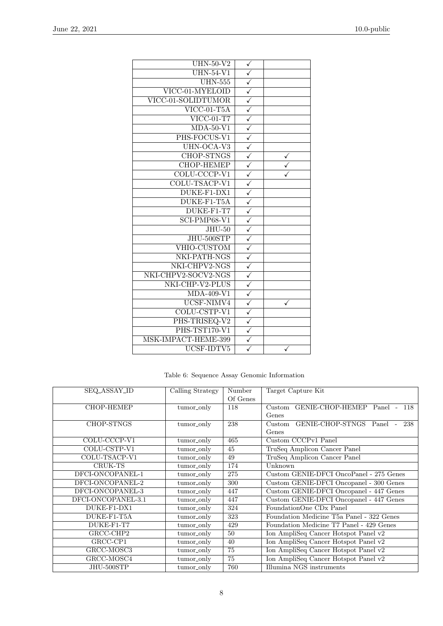| $UHN-50-V2$                            | ✓                       |  |
|----------------------------------------|-------------------------|--|
| $\overline{UHN-54-V1}$                 | $\checkmark$            |  |
| <b>UHN-555</b>                         | $\checkmark$            |  |
| VICC-01-MYELOID                        | $\overline{\checkmark}$ |  |
| VICC-01-SOLIDTUMOR                     | $\overline{\checkmark}$ |  |
| $\overline{\text{VICC-01-T5}}\text{A}$ | $\overline{\checkmark}$ |  |
| $VICC-01-T7$                           | $\checkmark$            |  |
| $MDA-50-V1$                            | $\overline{\checkmark}$ |  |
| PHS-FOCUS-V1                           | $\sqrt{2}$              |  |
| UHN-OCA-V3                             | $\checkmark$            |  |
| <b>CHOP-STNGS</b>                      | $\checkmark$            |  |
| <b>CHOP-HEMEP</b>                      | $\overline{\checkmark}$ |  |
| COLU-CCCP-V1                           | ✓                       |  |
| COLU-TSACP-V1                          | $\checkmark$            |  |
| DUKE-F1-DX1                            | $\sqrt{}$               |  |
| DUKE-F1-T5A                            | $\sqrt{}$               |  |
| DUKE-F1-T7                             | $\checkmark$            |  |
| $SCI-PMP68-V1$                         | $\sqrt{}$               |  |
| $JHU-50$                               | ✓                       |  |
| JHU-500STP                             | $\checkmark$            |  |
| VHIO-CUSTOM                            | $\sqrt{}$               |  |
| NKI-PATH-NGS                           | $\checkmark$            |  |
| NKI-CHPV2-NGS                          | $\checkmark$            |  |
| NKI-CHPV2-SOCV2-NGS                    | $\sqrt{ }$              |  |
| NKI-CHP-V2-PLUS                        | $\overline{\checkmark}$ |  |
| $MDA-409-V1$                           | $\checkmark$            |  |
| UCSF-NIMV4                             | $\overline{\checkmark}$ |  |
| COLU-CSTP-V1                           | $\checkmark$            |  |
| PHS-TRISEQ-V2                          | ✓                       |  |
| PHS-TST170-V1                          | $\overline{\checkmark}$ |  |
| MSK-IMPACT-HEME-399                    |                         |  |
| UCSF-IDTV5                             |                         |  |

Table 6: Sequence Assay Genomic Information

<span id="page-7-0"></span>

| SEQ_ASSAY_ID       | Calling Strategy | Number   | Target Capture Kit                        |
|--------------------|------------------|----------|-------------------------------------------|
|                    |                  | Of Genes |                                           |
| <b>CHOP-HEMEP</b>  | tumor_only       | 118      | Custom GENIE-CHOP-HEMEP Panel<br>118      |
|                    |                  |          | Genes                                     |
| CHOP-STNGS         | tumor_only       | 238      | GENIE-CHOP-STNGS Panel -<br>Custom<br>238 |
|                    |                  |          | Genes                                     |
| COLU-CCCP-V1       | tumor_only       | 465      | Custom CCCPv1 Panel                       |
| COLU-CSTP-V1       | tumor_only       | 45       | TruSeq Amplicon Cancer Panel              |
| COLU-TSACP-V1      | tumor_only       | 49       | TruSeq Amplicon Cancer Panel              |
| CRUK-TS            | tumor_only       | 174      | Unknown                                   |
| DFCI-ONCOPANEL-1   | tumor_only       | 275      | Custom GENIE-DFCI OncoPanel - 275 Genes   |
| DFCI-ONCOPANEL-2   | tumor_only       | 300      | Custom GENIE-DFCI Oncopanel - 300 Genes   |
| DFCI-ONCOPANEL-3   | tumor_only       | 447      | Custom GENIE-DFCI Oncopanel - 447 Genes   |
| DFCI-ONCOPANEL-3.1 | tumor_only       | 447      | Custom GENIE-DFCI Oncopanel - 447 Genes   |
| DUKE-F1-DX1        | tumor_only       | 324      | FoundationOne CDx Panel                   |
| DUKE-F1-T5A        | tumor_only       | 323      | Foundation Medicine T5a Panel - 322 Genes |
| DUKE-F1-T7         | tumor_only       | 429      | Foundation Medicine T7 Panel - 429 Genes  |
| GRCC-CHP2          | tumor_only       | 50       | Ion AmpliSeq Cancer Hotspot Panel v2      |
| GRCC-CP1           | tumor_only       | 40       | Ion AmpliSeq Cancer Hotspot Panel v2      |
| GRCC-MOSC3         | tumor_only       | 75       | Ion AmpliSeq Cancer Hotspot Panel v2      |
| GRCC-MOSC4         | tumor_only       | 75       | Ion AmpliSeq Cancer Hotspot Panel v2      |
| JHU-500STP         | tumor_only       | 760      | Illumina NGS instruments                  |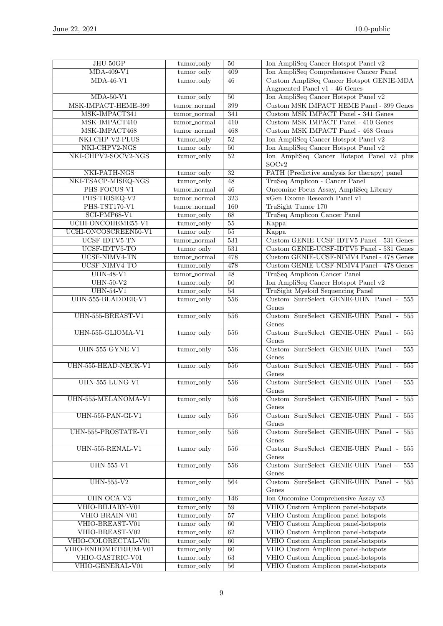| $JHU-50GP$           | tumor_only      | $50\,$           | Ion AmpliSeq Cancer Hotspot Panel v2             |
|----------------------|-----------------|------------------|--------------------------------------------------|
| $MDA-409-V1$         | tumor_only      | 409              | Ion AmpliSeq Comprehensive Cancer Panel          |
| $MDA-46-V1$          | tumor_only      | 46               | Custom AmpliSeq Cancer Hotspot GENIE-MDA         |
|                      |                 |                  | Augmented Panel v1 - 46 Genes                    |
| $MDA-50-V1$          | tumor_only      | 50               | Ion AmpliSeq Cancer Hotspot Panel v2             |
| MSK-IMPACT-HEME-399  | tumor_normal    | 399              | Custom MSK IMPACT HEME Panel - 399 Genes         |
| MSK-IMPACT341        | tumor_normal    | 341              | Custom MSK IMPACT Panel - 341 Genes              |
| MSK-IMPACT410        | tumor_normal    | 410              | Custom MSK IMPACT Panel - 410 Genes              |
| MSK-IMPACT468        | tumor_normal    | 468              | Custom MSK IMPACT Panel - 468 Genes              |
| NKI-CHP-V2-PLUS      | tumor_only      | $\overline{52}$  | Ion AmpliSeq Cancer Hotspot Panel v2             |
| NKI-CHPV2-NGS        | tumor_only      | 50               | Ion AmpliSeq Cancer Hotspot Panel v2             |
| NKI-CHPV2-SOCV2-NGS  | tumor_only      | 52               | Ion AmpliSeq Cancer Hotspot Panel v2 plus        |
|                      |                 |                  | SOCv2                                            |
| NKI-PATH-NGS         | tumor_only      | $\overline{32}$  | PATH (Predictive analysis for therapy) panel     |
| NKI-TSACP-MISEQ-NGS  | tumor_only      | 48               | TruSeq Amplicon - Cancer Panel                   |
| PHS-FOCUS-V1         |                 | 46               | Oncomine Focus Assay, AmpliSeq Library           |
|                      | tumor_normal    |                  |                                                  |
| PHS-TRISEQ-V2        | tumor_normal    | $\overline{323}$ | xGen Exome Research Panel v1                     |
| PHS-TST170-V1        | tumor_normal    | 160              | TruSight Tumor 170                               |
| $SCI-PMP68-V1$       | tumor_only      | 68               | TruSeq Amplicon Cancer Panel                     |
| UCHI-ONCOHEME55-V1   | tumor_only      | $\overline{55}$  | Kappa                                            |
| UCHI-ONCOSCREEN50-V1 | tumor_only      | $\overline{55}$  | Kappa                                            |
| UCSF-IDTV5-TN        | tumor_normal    | 531              | Custom GENIE-UCSF-IDTV5 Panel - 531 Genes        |
| UCSF-IDTV5-TO        | tumor_only      | 531              | Custom GENIE-UCSF-IDTV5 Panel - 531 Genes        |
| UCSF-NIMV4-TN        | $t$ umor_normal | 478              | Custom GENIE-UCSF-NIMV4 Panel - 478 Genes        |
| UCSF-NIMV4-TO        | tumor_only      | 478              | Custom GENIE-UCSF-NIMV4 Panel - 478 Genes        |
| <b>UHN-48-V1</b>     | $tumor\_normal$ | 48               | TruSeq Amplicon Cancer Panel                     |
| $UHN-50-V2$          | tumor_only      | 50               | Ion AmpliSeq Cancer Hotspot Panel v2             |
| $UHN-54-V1$          | tumor_only      | 54               | TruSight Myeloid Sequencing Panel                |
| UHN-555-BLADDER-V1   | tumor_only      | 556              | Custom SureSelect GENIE-UHN Panel - 555          |
|                      |                 |                  | Genes                                            |
| UHN-555-BREAST-V1    | tumor_only      | 556              | Custom SureSelect GENIE-UHN Panel - 555          |
|                      |                 |                  | Genes                                            |
| UHN-555-GLIOMA-V1    | tumor_only      | 556              | Custom SureSelect GENIE-UHN Panel - 555          |
|                      |                 |                  | Genes                                            |
| UHN-555-GYNE-V1      | tumor_only      | 556              | Custom SureSelect GENIE-UHN Panel - 555          |
|                      |                 |                  | Genes                                            |
| UHN-555-HEAD-NECK-V1 |                 | 556              | Custom SureSelect GENIE-UHN Panel -<br>555       |
|                      | tumor_only      |                  | Genes                                            |
| $UHN-555-LUNG-V1$    |                 | 556              | Custom SureSelect GENIE-UHN Panel - 555          |
|                      | tumor_only      |                  |                                                  |
|                      |                 |                  | Genes<br>Custom SureSelect GENIE-UHN Panel - 555 |
| UHN-555-MELANOMA-V1  | tumor_only      | 556              |                                                  |
|                      |                 |                  | Genes                                            |
| $UHN-555-PAN-GI-V1$  | $t$ umor_only   | 556              | Custom SureSelect GENIE-UHN Panel - 555          |
|                      |                 |                  | Genes                                            |
| UHN-555-PROSTATE-V1  | tumor_only      | 556              | Custom SureSelect GENIE-UHN Panel - 555          |
|                      |                 |                  | Genes                                            |
| UHN-555-RENAL-V1     | tumor_only      | 556              | Custom SureSelect GENIE-UHN Panel - 555          |
|                      |                 |                  | Genes                                            |
| <b>UHN-555-V1</b>    | tumor_only      | 556              | Custom SureSelect GENIE-UHN Panel - 555          |
|                      |                 |                  | Genes                                            |
| $UHN-555-V2$         | tumor_only      | 564              | Custom SureSelect GENIE-UHN Panel - 555          |
|                      |                 |                  | Genes                                            |
| UHN-OCA-V3           | tumor_only      | 146              | Ion Oncomine Comprehensive Assay v3              |
| VHIO-BILIARY-V01     | tumor_only      | $\overline{59}$  | VHIO Custom Amplicon panel-hotspots              |
| VHIO-BRAIN-V01       | tumor_only      | 57               | VHIO Custom Amplicon panel-hotspots              |
| VHIO-BREAST-V01      | tumor_only      | 60               | VHIO Custom Amplicon panel-hotspots              |
| VHIO-BREAST-V02      | tumor_only      | 62               | VHIO Custom Amplicon panel-hotspots              |
| VHIO-COLORECTAL-V01  | tumor_only      | 60               | VHIO Custom Amplicon panel-hotspots              |
| VHIO-ENDOMETRIUM-V01 | tumor_only      | 60               | VHIO Custom Amplicon panel-hotspots              |
| VHIO-GASTRIC-V01     | tumor_only      | 63               | VHIO Custom Amplicon panel-hotspots              |
| VHIO-GENERAL-V01     | tumor_only      | $\overline{56}$  | VHIO Custom Amplicon panel-hotspots              |
|                      |                 |                  |                                                  |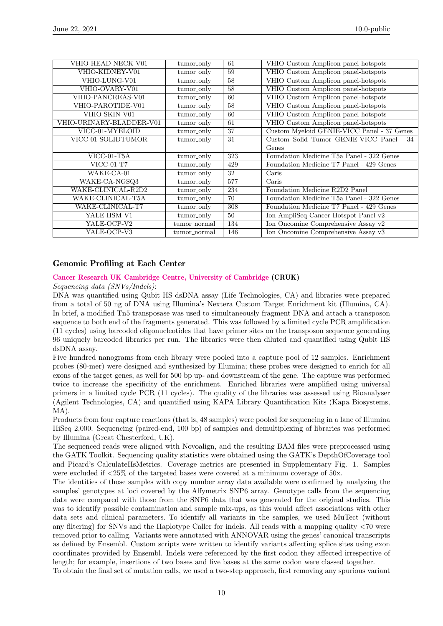| VHIO-HEAD-NECK-V01       | tumor_only   | 61  | VHIO Custom Amplicon panel-hotspots        |
|--------------------------|--------------|-----|--------------------------------------------|
| VHIO-KIDNEY-V01          | tumor_only   | 59  | VHIO Custom Amplicon panel-hotspots        |
| VHIO-LUNG-V01            | tumor_only   | 58  | VHIO Custom Amplicon panel-hotspots        |
| VHIO-OVARY-V01           | tumor_only   | 58  | VHIO Custom Amplicon panel-hotspots        |
| VHIO-PANCREAS-V01        | tumor_only   | 60  | VHIO Custom Amplicon panel-hotspots        |
| VHIO-PAROTIDE-V01        | tumor_only   | 58  | VHIO Custom Amplicon panel-hotspots        |
| VHIO-SKIN-V01            | tumor_only   | 60  | VHIO Custom Amplicon panel-hotspots        |
| VHIO-URINARY-BLADDER-V01 | tumor_only   | 61  | VHIO Custom Amplicon panel-hotspots        |
| VICC-01-MYELOID          | tumor_only   | 37  | Custom Myeloid GENIE-VICC Panel - 37 Genes |
| VICC-01-SOLIDTUMOR       | tumor_only   | 31  | Custom Solid Tumor GENIE-VICC Panel - 34   |
|                          |              |     | Genes                                      |
| $VICC-01-T5A$            | tumor_only   | 323 | Foundation Medicine T5a Panel - 322 Genes  |
| $VICC-01-T7$             | tumor_only   | 429 | Foundation Medicine T7 Panel - 429 Genes   |
| WAKE-CA-01               | tumor_only   | 32  | Caris                                      |
| WAKE-CA-NGSQ3            | tumor_only   | 577 | Caris                                      |
| WAKE-CLINICAL-R2D2       | tumor_only   | 234 | Foundation Medicine R2D2 Panel             |
| WAKE-CLINICAL-T5A        | tumor_only   | 70  | Foundation Medicine T5a Panel - 322 Genes  |
| WAKE-CLINICAL-T7         | tumor_only   | 308 | Foundation Medicine T7 Panel - 429 Genes   |
| YALE-HSM-V1              | tumor_only   | 50  | Ion AmpliSeq Cancer Hotspot Panel v2       |
| YALE-OCP-V2              | tumor_normal | 134 | Ion Oncomine Comprehensive Assay v2        |
| YALE-OCP-V3              | tumor_normal | 146 | Ion Oncomine Comprehensive Assay v3        |

#### Genomic Profiling at Each Center

#### [Cancer Research UK Cambridge Centre, University of Cambridge](https://www.cruk.cam.ac.uk/) (CRUK)

Sequencing data (SNVs/Indels):

DNA was quantified using Qubit HS dsDNA assay (Life Technologies, CA) and libraries were prepared from a total of 50 ng of DNA using Illumina's Nextera Custom Target Enrichment kit (Illumina, CA). In brief, a modified Tn5 transposase was used to simultaneously fragment DNA and attach a transposon sequence to both end of the fragments generated. This was followed by a limited cycle PCR amplification (11 cycles) using barcoded oligonucleotides that have primer sites on the transposon sequence generating 96 uniquely barcoded libraries per run. The libraries were then diluted and quantified using Qubit HS dsDNA assay.

Five hundred nanograms from each library were pooled into a capture pool of 12 samples. Enrichment probes (80-mer) were designed and synthesized by Illumina; these probes were designed to enrich for all exons of the target genes, as well for 500 bp up- and downstream of the gene. The capture was performed twice to increase the specificity of the enrichment. Enriched libraries were amplified using universal primers in a limited cycle PCR (11 cycles). The quality of the libraries was assessed using Bioanalyser (Agilent Technologies, CA) and quantified using KAPA Library Quantification Kits (Kapa Biosystems, MA).

Products from four capture reactions (that is, 48 samples) were pooled for sequencing in a lane of Illumina HiSeq 2,000. Sequencing (paired-end, 100 bp) of samples and demultiplexing of libraries was performed by Illumina (Great Chesterford, UK).

The sequenced reads were aligned with Novoalign, and the resulting BAM files were preprocessed using the GATK Toolkit. Sequencing quality statistics were obtained using the GATK's DepthOfCoverage tool and Picard's CalculateHsMetrics. Coverage metrics are presented in Supplementary Fig. 1. Samples were excluded if <25% of the targeted bases were covered at a minimum coverage of 50x.

The identities of those samples with copy number array data available were confirmed by analyzing the samples' genotypes at loci covered by the Affymetrix SNP6 array. Genotype calls from the sequencing data were compared with those from the SNP6 data that was generated for the original studies. This was to identify possible contamination and sample mix-ups, as this would affect associations with other data sets and clinical parameters. To identify all variants in the samples, we used MuTect (without any filtering) for SNVs and the Haplotype Caller for indels. All reads with a mapping quality <70 were removed prior to calling. Variants were annotated with ANNOVAR using the genes' canonical transcripts as defined by Ensembl. Custom scripts were written to identify variants affecting splice sites using exon coordinates provided by Ensembl. Indels were referenced by the first codon they affected irrespective of length; for example, insertions of two bases and five bases at the same codon were classed together. To obtain the final set of mutation calls, we used a two-step approach, first removing any spurious variant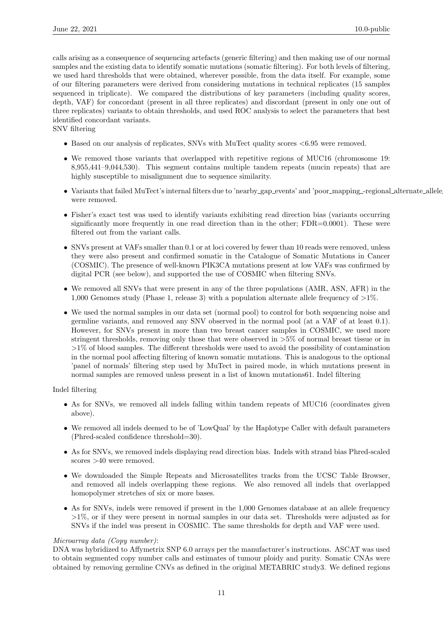calls arising as a consequence of sequencing artefacts (generic filtering) and then making use of our normal samples and the existing data to identify somatic mutations (somatic filtering). For both levels of filtering, we used hard thresholds that were obtained, wherever possible, from the data itself. For example, some of our filtering parameters were derived from considering mutations in technical replicates (15 samples sequenced in triplicate). We compared the distributions of key parameters (including quality scores, depth, VAF) for concordant (present in all three replicates) and discordant (present in only one out of three replicates) variants to obtain thresholds, and used ROC analysis to select the parameters that best identified concordant variants.

SNV filtering

- Based on our analysis of replicates, SNVs with MuTect quality scores  $\leq 6.95$  were removed.
- We removed those variants that overlapped with repetitive regions of MUC16 (chromosome 19: 8,955,441–9,044,530). This segment contains multiple tandem repeats (mucin repeats) that are highly susceptible to misalignment due to sequence similarity.
- Variants that failed MuTect's internal filters due to 'nearby\_gap\_events' and 'poor\_mapping\_-regional\_alternate\_allele were removed.
- Fisher's exact test was used to identify variants exhibiting read direction bias (variants occurring significantly more frequently in one read direction than in the other; FDR=0.0001). These were filtered out from the variant calls.
- SNVs present at VAFs smaller than 0.1 or at loci covered by fewer than 10 reads were removed, unless they were also present and confirmed somatic in the Catalogue of Somatic Mutations in Cancer (COSMIC). The presence of well-known PIK3CA mutations present at low VAFs was confirmed by digital PCR (see below), and supported the use of COSMIC when filtering SNVs.
- We removed all SNVs that were present in any of the three populations (AMR, ASN, AFR) in the 1,000 Genomes study (Phase 1, release 3) with a population alternate allele frequency of  $>1\%$ .
- We used the normal samples in our data set (normal pool) to control for both sequencing noise and germline variants, and removed any SNV observed in the normal pool (at a VAF of at least 0.1). However, for SNVs present in more than two breast cancer samples in COSMIC, we used more stringent thresholds, removing only those that were observed in >5% of normal breast tissue or in  $>1\%$  of blood samples. The different thresholds were used to avoid the possibility of contamination in the normal pool affecting filtering of known somatic mutations. This is analogous to the optional 'panel of normals' filtering step used by MuTect in paired mode, in which mutations present in normal samples are removed unless present in a list of known mutations61. Indel filtering

Indel filtering

- As for SNVs, we removed all indels falling within tandem repeats of MUC16 (coordinates given above).
- We removed all indels deemed to be of 'LowQual' by the Haplotype Caller with default parameters (Phred-scaled confidence threshold=30).
- As for SNVs, we removed indels displaying read direction bias. Indels with strand bias Phred-scaled scores >40 were removed.
- We downloaded the Simple Repeats and Microsatellites tracks from the UCSC Table Browser, and removed all indels overlapping these regions. We also removed all indels that overlapped homopolymer stretches of six or more bases.
- As for SNVs, indels were removed if present in the 1,000 Genomes database at an allele frequency >1%, or if they were present in normal samples in our data set. Thresholds were adjusted as for SNVs if the indel was present in COSMIC. The same thresholds for depth and VAF were used.

#### Microarray data (Copy number):

DNA was hybridized to Affymetrix SNP 6.0 arrays per the manufacturer's instructions. ASCAT was used to obtain segmented copy number calls and estimates of tumour ploidy and purity. Somatic CNAs were obtained by removing germline CNVs as defined in the original METABRIC study3. We defined regions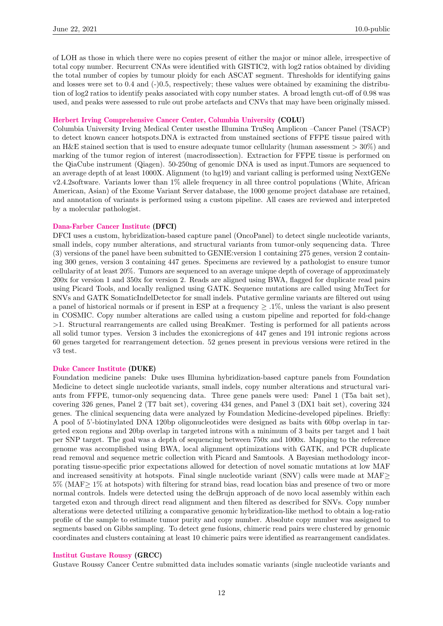of LOH as those in which there were no copies present of either the major or minor allele, irrespective of total copy number. Recurrent CNAs were identified with GISTIC2, with log2 ratios obtained by dividing the total number of copies by tumour ploidy for each ASCAT segment. Thresholds for identifying gains and losses were set to  $0.4$  and  $(-)0.5$ , respectively; these values were obtained by examining the distribution of log2 ratios to identify peaks associated with copy number states. A broad length cut-off of 0.98 was used, and peaks were assessed to rule out probe artefacts and CNVs that may have been originally missed.

#### [Herbert Irving Comprehensive Cancer Center, Columbia University](https://cancer.columbia.edu/) (COLU)

Columbia University Irving Medical Center usesthe Illumina TruSeq Amplicon –Cancer Panel (TSACP) to detect known cancer hotspots.DNA is extracted from unstained sections of FFPE tissue paired with an H&E stained section that is used to ensure adequate tumor cellularity (human assessment  $>30\%$ ) and marking of the tumor region of interest (macrodissection). Extraction for FFPE tissue is performed on the QiaCube instrument (Qiagen). 50-250ng of genomic DNA is used as input.Tumors are sequenced to an average depth of at least 1000X. Alignment (to hg19) and variant calling is performed using NextGENe v2.4.2software. Variants lower than 1% allele frequency in all three control populations (White, African American, Asian) of the Exome Variant Server database, the 1000 genome project database are retained, and annotation of variants is performed using a custom pipeline. All cases are reviewed and interpreted by a molecular pathologist.

#### [Dana-Farber Cancer Institute](https://www.dana-farber.org/) (DFCI)

DFCI uses a custom, hybridization-based capture panel (OncoPanel) to detect single nucleotide variants, small indels, copy number alterations, and structural variants from tumor-only sequencing data. Three (3) versions of the panel have been submitted to GENIE:version 1 containing 275 genes, version 2 containing 300 genes, version 3 containing 447 genes. Specimens are reviewed by a pathologist to ensure tumor cellularity of at least 20%. Tumors are sequenced to an average unique depth of coverage of approximately 200x for version 1 and 350x for version 2. Reads are aligned using BWA, flagged for duplicate read pairs using Picard Tools, and locally realigned using GATK. Sequence mutations are called using MuTect for SNVs and GATK SomaticIndelDetector for small indels. Putative germline variants are filtered out using a panel of historical normals or if present in ESP at a frequency  $> .1\%$ , unless the variant is also present in COSMIC. Copy number alterations are called using a custom pipeline and reported for fold-change >1. Structural rearrangements are called using BreaKmer. Testing is performed for all patients across all solid tumor types. Version 3 includes the exonicregions of 447 genes and 191 intronic regions across 60 genes targeted for rearrangement detection. 52 genes present in previous versions were retired in the v3 test.

#### [Duke Cancer Institute](http://www.dukecancerinstitute.org/) (DUKE)

Foundation medicine panels: Duke uses Illumina hybridization-based capture panels from Foundation Medicine to detect single nucleotide variants, small indels, copy number alterations and structural variants from FFPE, tumor-only sequencing data. Three gene panels were used: Panel 1 (T5a bait set), covering 326 genes, Panel 2 (T7 bait set), covering 434 genes, and Panel 3 (DX1 bait set), covering 324 genes. The clinical sequencing data were analyzed by Foundation Medicine-developed pipelines. Briefly: A pool of 5'-biotinylated DNA 120bp oligonucleotides were designed as baits with 60bp overlap in targeted exon regions and 20bp overlap in targeted introns with a minimum of 3 baits per target and 1 bait per SNP target. The goal was a depth of sequencing between 750x and 1000x. Mapping to the reference genome was accomplished using BWA, local alignment optimizations with GATK, and PCR duplicate read removal and sequence metric collection with Picard and Samtools. A Bayesian methodology incorporating tissue-specific prior expectations allowed for detection of novel somatic mutations at low MAF and increased sensitivity at hotspots. Final single nucleotide variant (SNV) calls were made at MAF $\geq$ 5% (MAF≥ 1% at hotspots) with filtering for strand bias, read location bias and presence of two or more normal controls. Indels were detected using the deBrujn approach of de novo local assembly within each targeted exon and through direct read alignment and then filtered as described for SNVs. Copy number alterations were detected utilizing a comparative genomic hybridization-like method to obtain a log-ratio profile of the sample to estimate tumor purity and copy number. Absolute copy number was assigned to segments based on Gibbs sampling. To detect gene fusions, chimeric read pairs were clustered by genomic coordinates and clusters containing at least 10 chimeric pairs were identified as rearrangement candidates.

#### [Institut Gustave Roussy](https://www.gustaveroussy.fr/en) (GRCC)

Gustave Roussy Cancer Centre submitted data includes somatic variants (single nucleotide variants and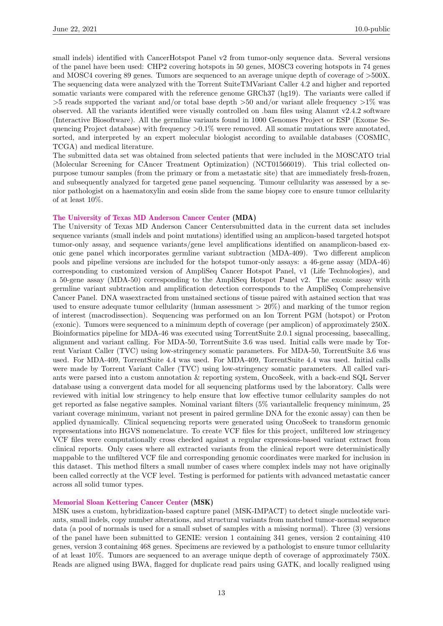small indels) identified with CancerHotspot Panel v2 from tumor-only sequence data. Several versions of the panel have been used: CHP2 covering hotspots in 50 genes, MOSC3 covering hotspots in 74 genes and MOSC4 covering 89 genes. Tumors are sequenced to an average unique depth of coverage of >500X. The sequencing data were analyzed with the Torrent SuiteTMVariant Caller 4.2 and higher and reported somatic variants were compared with the reference genome GRCh37 (hg19). The variants were called if  $>5$  reads supported the variant and/or total base depth  $>50$  and/or variant allele frequency  $>1\%$  was observed. All the variants identified were visually controlled on .bam files using Alamut v2.4.2 software (Interactive Biosoftware). All the germline variants found in 1000 Genomes Project or ESP (Exome Sequencing Project database) with frequency  $>0.1\%$  were removed. All somatic mutations were annotated, sorted, and interpreted by an expert molecular biologist according to available databases (COSMIC, TCGA) and medical literature.

The submitted data set was obtained from selected patients that were included in the MOSCATO trial (Molecular Screening for CAncer Treatment Optimization) (NCT01566019). This trial collected onpurpose tumour samples (from the primary or from a metastatic site) that are immediately fresh-frozen, and subsequently analyzed for targeted gene panel sequencing. Tumour cellularity was assessed by a senior pathologist on a haematoxylin and eosin slide from the same biopsy core to ensure tumor cellularity of at least 10%.

#### [The University of Texas MD Anderson Cancer Center](https://www.mdanderson.org/) (MDA)

The University of Texas MD Anderson Cancer Centersubmitted data in the current data set includes sequence variants (small indels and point mutations) identified using an amplicon-based targeted hotspot tumor-only assay, and sequence variants/gene level amplifications identified on anamplicon-based exonic gene panel which incorporates germline variant subtraction (MDA-409). Two different amplicon pools and pipeline versions are included for the hotspot tumor-only assays: a 46-gene assay (MDA-46) corresponding to customized version of AmpliSeq Cancer Hotspot Panel, v1 (Life Technologies), and a 50-gene assay (MDA-50) corresponding to the AmpliSeq Hotspot Panel v2. The exonic assay with germline variant subtraction and amplification detection corresponds to the AmpliSeq Comprehensive Cancer Panel. DNA wasextracted from unstained sections of tissue paired with astained section that was used to ensure adequate tumor cellularity (human assessment  $> 20\%$ ) and marking of the tumor region of interest (macrodissection). Sequencing was performed on an Ion Torrent PGM (hotspot) or Proton (exonic). Tumors were sequenced to a minimum depth of coverage (per amplicon) of approximately 250X. Bioinformatics pipeline for MDA-46 was executed using TorrentSuite 2.0.1 signal processing, basecalling, alignment and variant calling. For MDA-50, TorrentSuite 3.6 was used. Initial calls were made by Torrent Variant Caller (TVC) using low-stringency somatic parameters. For MDA-50, TorrentSuite 3.6 was used. For MDA-409, TorrentSuite 4.4 was used. For MDA-409, TorrentSuite 4.4 was used. Initial calls were made by Torrent Variant Caller (TVC) using low-stringency somatic parameters. All called variants were parsed into a custom annotation & reporting system, OncoSeek, with a back-end SQL Server database using a convergent data model for all sequencing platforms used by the laboratory. Calls were reviewed with initial low stringency to help ensure that low effective tumor cellularity samples do not get reported as false negative samples. Nominal variant filters (5% variantallelic frequency minimum, 25 variant coverage minimum, variant not present in paired germline DNA for the exonic assay) can then be applied dynamically. Clinical sequencing reports were generated using OncoSeek to transform genomic representations into HGVS nomenclature. To create VCF files for this project, unfiltered low stringency VCF files were computationally cross checked against a regular expressions-based variant extract from clinical reports. Only cases where all extracted variants from the clinical report were deterministically mappable to the unfiltered VCF file and corresponding genomic coordinates were marked for inclusion in this dataset. This method filters a small number of cases where complex indels may not have originally been called correctly at the VCF level. Testing is performed for patients with advanced metastatic cancer across all solid tumor types.

#### [Memorial Sloan Kettering Cancer Center](https://www.mskcc.org/) (MSK)

MSK uses a custom, hybridization-based capture panel (MSK-IMPACT) to detect single nucleotide variants, small indels, copy number alterations, and structural variants from matched tumor-normal sequence data (a pool of normals is used for a small subset of samples with a missing normal). Three (3) versions of the panel have been submitted to GENIE: version 1 containing 341 genes, version 2 containing 410 genes, version 3 containing 468 genes. Specimens are reviewed by a pathologist to ensure tumor cellularity of at least 10%. Tumors are sequenced to an average unique depth of coverage of approximately 750X. Reads are aligned using BWA, flagged for duplicate read pairs using GATK, and locally realigned using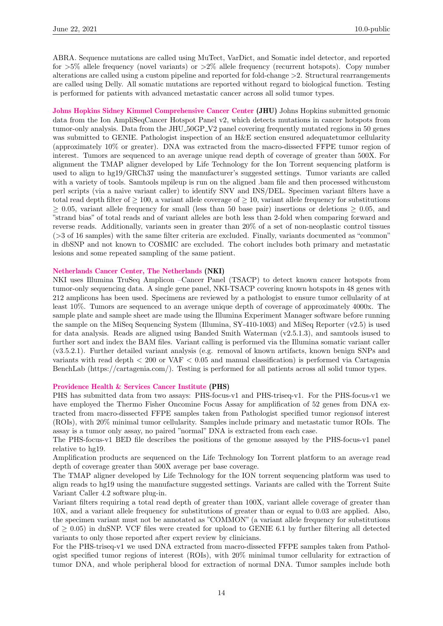ABRA. Sequence mutations are called using MuTect, VarDict, and Somatic indel detector, and reported for  $>5\%$  allele frequency (novel variants) or  $>2\%$  allele frequency (recurrent hotspots). Copy number alterations are called using a custom pipeline and reported for fold-change >2. Structural rearrangements are called using Delly. All somatic mutations are reported without regard to biological function. Testing is performed for patients with advanced metastatic cancer across all solid tumor types.

[Johns Hopkins Sidney Kimmel Comprehensive Cancer Center](https://www.jhu.edu/) (JHU) Johns Hopkins submitted genomic data from the Ion AmpliSeqCancer Hotspot Panel v2, which detects mutations in cancer hotspots from tumor-only analysis. Data from the JHU<sub>-50GP-V2</sub> panel covering frequently mutated regions in 50 genes was submitted to GENIE. Pathologist inspection of an H&E section ensured adequatetumor cellularity (approximately 10% or greater). DNA was extracted from the macro-dissected FFPE tumor region of interest. Tumors are sequenced to an average unique read depth of coverage of greater than 500X. For alignment the TMAP aligner developed by Life Technology for the Ion Torrent sequencing platform is used to align to hg19/GRCh37 using the manufacturer's suggested settings. Tumor variants are called with a variety of tools. Samtools mpileup is run on the aligned .bam file and then processed withcustom perl scripts (via a naive variant caller) to identify SNV and INS/DEL. Specimen variant filters have a total read depth filter of  $\geq 100$ , a variant allele coverage of  $\geq 10$ , variant allele frequency for substitutions  $\geq$  0.05, variant allele frequency for small (less than 50 base pair) insertions or deletions  $\geq$  0.05, and "strand bias" of total reads and of variant alleles are both less than 2-fold when comparing forward and reverse reads. Additionally, variants seen in greater than 20% of a set of non-neoplastic control tissues (>3 of 16 samples) with the same filter criteria are excluded. Finally, variants documented as "common" in dbSNP and not known to COSMIC are excluded. The cohort includes both primary and metastatic lesions and some repeated sampling of the same patient.

#### [Netherlands Cancer Center, The Netherlands](https://www.nki.nl/) (NKI)

NKI uses Illumina TruSeq Amplicon –Cancer Panel (TSACP) to detect known cancer hotspots from tumor-only sequencing data. A single gene panel, NKI-TSACP covering known hotspots in 48 genes with 212 amplicons has been used. Specimens are reviewed by a pathologist to ensure tumor cellularity of at least 10%. Tumors are sequenced to an average unique depth of coverage of approximately 4000x. The sample plate and sample sheet are made using the Illumina Experiment Manager software before running the sample on the MiSeq Sequencing System (Illumina, SY-410-1003) and MiSeq Reporter (v2.5) is used for data analysis. Reads are aligned using Banded Smith Waterman (v2.5.1.3), and samtools isused to further sort and index the BAM files. Variant calling is performed via the Illumina somatic variant caller (v3.5.2.1). Further detailed variant analysis (e.g. removal of known artifacts, known benign SNPs and variants with read depth < 200 or VAF < 0.05 and manual classification) is performed via Cartagenia BenchLab (https://cartagenia.com/). Testing is performed for all patients across all solid tumor types.

#### [Providence Health & Services Cancer Institute](https://oregon.providence.org/our-services/p/providence-cancer-center/) (PHS)

PHS has submitted data from two assays: PHS-focus-v1 and PHS-triseq-v1. For the PHS-focus-v1 we have employed the Thermo Fisher Oncomine Focus Assay for amplification of 52 genes from DNA extracted from macro-dissected FFPE samples taken from Pathologist specified tumor regionsof interest (ROIs), with 20% minimal tumor cellularity. Samples include primary and metastatic tumor ROIs. The assay is a tumor only assay, no paired "normal" DNA is extracted from each case.

The PHS-focus-v1 BED file describes the positions of the genome assayed by the PHS-focus-v1 panel relative to hg19.

Amplification products are sequenced on the Life Technology Ion Torrent platform to an average read depth of coverage greater than 500X average per base coverage.

The TMAP aligner developed by Life Technology for the ION torrent sequencing platform was used to align reads to hg19 using the manufacture suggested settings. Variants are called with the Torrent Suite Variant Caller 4.2 software plug-in.

Variant filters requiring a total read depth of greater than 100X, variant allele coverage of greater than 10X, and a variant allele frequency for substitutions of greater than or equal to 0.03 are applied. Also, the specimen variant must not be annotated as "COMMON" (a variant allele frequency for substitutions of  $\geq$  0.05) in dnSNP. VCF files were created for upload to GENIE 6.1 by further filtering all detected variants to only those reported after expert review by clinicians.

For the PHS-triseq-v1 we used DNA extracted from macro-dissected FFPE samples taken from Pathologist specified tumor regions of interest (ROIs), with 20% minimal tumor cellularity for extraction of tumor DNA, and whole peripheral blood for extraction of normal DNA. Tumor samples include both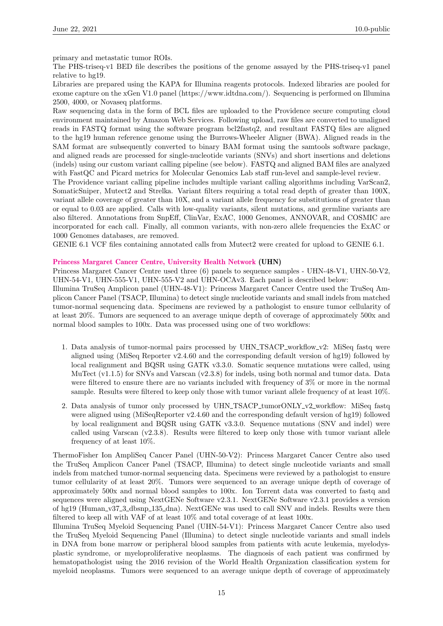primary and metastatic tumor ROIs.

The PHS-triseq-v1 BED file describes the positions of the genome assayed by the PHS-triseq-v1 panel relative to hg19.

Libraries are prepared using the KAPA for Illumina reagents protocols. Indexed libraries are pooled for exome capture on the xGen V1.0 panel (https://www.idtdna.com/). Sequencing is performed on Illumina 2500, 4000, or Novaseq platforms.

Raw sequencing data in the form of BCL files are uploaded to the Providence secure computing cloud environment maintained by Amazon Web Services. Following upload, raw files are converted to unaligned reads in FASTQ format using the software program bcl2fastq2, and resultant FASTQ files are aligned to the hg19 human reference genome using the Burrows-Wheeler Aligner (BWA). Aligned reads in the SAM format are subsequently converted to binary BAM format using the samtools software package, and aligned reads are processed for single-nucleotide variants (SNVs) and short insertions and deletions (indels) using our custom variant calling pipeline (see below). FASTQ and aligned BAM files are analyzed with FastQC and Picard metrics for Molecular Genomics Lab staff run-level and sample-level review.

The Providence variant calling pipeline includes multiple variant calling algorithms including VarScan2, SomaticSniper, Mutect2 and Strelka. Variant filters requiring a total read depth of greater than 100X, variant allele coverage of greater than 10X, and a variant allele frequency for substitutions of greater than or equal to 0.03 are applied. Calls with low-quality variants, silent mutations, and germline variants are also filtered. Annotations from SnpEff, ClinVar, ExAC, 1000 Genomes, ANNOVAR, and COSMIC are incorporated for each call. Finally, all common variants, with non-zero allele frequencies the ExAC or 1000 Genomes databases, are removed.

GENIE 6.1 VCF files containing annotated calls from Mutect2 were created for upload to GENIE 6.1.

#### [Princess Margaret Cancer Centre, University Health Network](https://www.uhn.ca/PrincessMargaret) (UHN)

Princess Margaret Cancer Centre used three (6) panels to sequence samples - UHN-48-V1, UHN-50-V2, UHN-54-V1, UHN-555-V1, UHN-555-V2 and UHN-OCAv3. Each panel is described below:

Illumina TruSeq Amplicon panel (UHN-48-V1): Princess Margaret Cancer Centre used the TruSeq Amplicon Cancer Panel (TSACP, Illumina) to detect single nucleotide variants and small indels from matched tumor-normal sequencing data. Specimens are reviewed by a pathologist to ensure tumor cellularity of at least 20%. Tumors are sequenced to an average unique depth of coverage of approximately 500x and normal blood samples to 100x. Data was processed using one of two workflows:

- 1. Data analysis of tumor-normal pairs processed by UHN TSACP workflow v2: MiSeq fastq were aligned using (MiSeq Reporter v2.4.60 and the corresponding default version of hg19) followed by local realignment and BQSR using GATK v3.3.0. Somatic sequence mutations were called, using MuTect (v1.1.5) for SNVs and Varscan (v2.3.8) for indels, using both normal and tumor data. Data were filtered to ensure there are no variants included with frequency of 3% or more in the normal sample. Results were filtered to keep only those with tumor variant allele frequency of at least 10%.
- 2. Data analysis of tumor only processed by UHN\_TSACP\_tumorONLY\_v2\_workflow: MiSeq fastq were aligned using (MiSeqReporter v2.4.60 and the corresponding default version of hg19) followed by local realignment and BQSR using GATK v3.3.0. Sequence mutations (SNV and indel) were called using Varscan (v2.3.8). Results were filtered to keep only those with tumor variant allele frequency of at least 10%.

ThermoFisher Ion AmpliSeq Cancer Panel (UHN-50-V2): Princess Margaret Cancer Centre also used the TruSeq Amplicon Cancer Panel (TSACP, Illumina) to detect single nucleotide variants and small indels from matched tumor-normal sequencing data. Specimens were reviewed by a pathologist to ensure tumor cellularity of at least 20%. Tumors were sequenced to an average unique depth of coverage of approximately 500x and normal blood samples to 100x. Ion Torrent data was converted to fastq and sequences were aligned using NextGENe Software v2.3.1. NextGENe Software v2.3.1 provides a version of hg19 (Human v37 3 dbsnp 135 dna). NextGENe was used to call SNV and indels. Results were then filtered to keep all with VAF of at least 10% and total coverage of at least 100x.

Illumina TruSeq Myeloid Sequencing Panel (UHN-54-V1): Princess Margaret Cancer Centre also used the TruSeq Myeloid Sequencing Panel (Illumina) to detect single nucleotide variants and small indels in DNA from bone marrow or peripheral blood samples from patients with acute leukemia, myelodysplastic syndrome, or myeloproliferative neoplasms. The diagnosis of each patient was confirmed by hematopathologist using the 2016 revision of the World Health Organization classification system for myeloid neoplasms. Tumors were sequenced to an average unique depth of coverage of approximately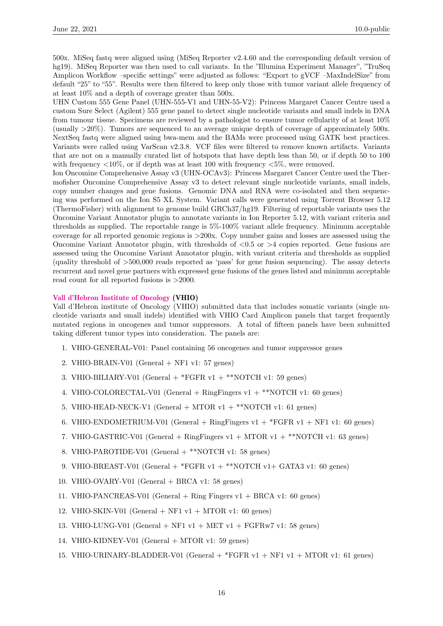500x. MiSeq fastq were aligned using (MiSeq Reporter v2.4.60 and the corresponding default version of hg19). MiSeq Reporter was then used to call variants. In the "Illumina Experiment Manager", "TruSeq Amplicon Workflow –specific settings" were adjusted as follows: "Export to gVCF –MaxIndelSize" from default "25" to "55". Results were then filtered to keep only those with tumor variant allele frequency of at least 10% and a depth of coverage greater than 500x.

UHN Custom 555 Gene Panel (UHN-555-V1 and UHN-55-V2): Princess Margaret Cancer Centre used a custom Sure Select (Agilent) 555 gene panel to detect single nucleotide variants and small indels in DNA from tumour tissue. Specimens are reviewed by a pathologist to ensure tumor cellularity of at least 10% (usually >20%). Tumors are sequenced to an average unique depth of coverage of approximately 500x. NextSeq fastq were aligned using bwa-mem and the BAMs were processed using GATK best practices. Variants were called using VarScan v2.3.8. VCF files were filtered to remove known artifacts. Variants that are not on a manually curated list of hotspots that have depth less than 50, or if depth 50 to 100 with frequency  $\langle 10\% \rangle$ , or if depth was at least 100 with frequency  $\langle 5\% \rangle$ , were removed.

Ion Oncomine Comprehensive Assay v3 (UHN-OCAv3): Princess Margaret Cancer Centre used the Thermofisher Oncomine Comprehensive Assay v3 to detect relevant single nucleotide variants, small indels, copy number changes and gene fusions. Genomic DNA and RNA were co-isolated and then sequencing was performed on the Ion S5 XL System. Variant calls were generated using Torrent Browser 5.12 (ThermoFisher) with alignment to genome build GRCh37/hg19. Filtering of reportable variants uses the Oncomine Variant Annotator plugin to annotate variants in Ion Reporter 5.12, with variant criteria and thresholds as supplied. The reportable range is 5%-100% variant allele frequency. Minimum acceptable coverage for all reported genomic regions is >200x. Copy number gains and losses are assessed using the Oncomine Variant Annotator plugin, with thresholds of <0.5 or >4 copies reported. Gene fusions are assessed using the Oncomine Variant Annotator plugin, with variant criteria and thresholds as supplied (quality threshold of >500,000 reads reported as 'pass' for gene fusion sequencing). The assay detects recurrent and novel gene partners with expressed gene fusions of the genes listed and minimum acceptable read count for all reported fusions is >2000.

#### [Vall d'Hebron Institute of Oncology](https://www.vhio.net/en/) (VHIO)

Vall d'Hebron institute of Oncology (VHIO) submitted data that includes somatic variants (single nucleotide variants and small indels) identified with VHIO Card Amplicon panels that target frequently mutated regions in oncogenes and tumor suppressors. A total of fifteen panels have been submitted taking different tumor types into consideration. The panels are:

- 1. VHIO-GENERAL-V01: Panel containing 56 oncogenes and tumor suppressor genes
- 2. VHIO-BRAIN-V01 (General  $+$  NF1 v1: 57 genes)
- 3. VHIO-BILIARY-V01 (General  $+$  \*FGFR v1  $+$  \*\*NOTCH v1: 59 genes)
- 4. VHIO-COLORECTAL-V01 (General + RingFingers v1 + \*\*NOTCH v1: 60 genes)
- 5. VHIO-HEAD-NECK-V1 (General + MTOR v1 + \*\*NOTCH v1: 61 genes)
- 6. VHIO-ENDOMETRIUM-V01 (General + RingFingers v1 +  $*$ FGFR v1 + NF1 v1: 60 genes)
- 7. VHIO-GASTRIC-V01 (General + RingFingers  $v1 + MTOR$   $v1 +$  \*\*NOTCH  $v1$ : 63 genes)
- 8. VHIO-PAROTIDE-V01 (General  $+$  \*\*NOTCH v1: 58 genes)
- 9. VHIO-BREAST-V01 (General  $+$  \*FGFR v1  $+$  \*\*NOTCH v1 $+$  GATA3 v1: 60 genes)
- 10. VHIO-OVARY-V01 (General  $+$  BRCA v1: 58 genes)
- 11. VHIO-PANCREAS-V01 (General + Ring Fingers v1 + BRCA v1: 60 genes)
- 12. VHIO-SKIN-V01 (General  $+$  NF1 v1  $+$  MTOR v1: 60 genes)
- 13. VHIO-LUNG-V01 (General  $+$  NF1 v1  $+$  MET v1  $+$  FGFRw7 v1: 58 genes)
- 14. VHIO-KIDNEY-V01 (General + MTOR v1: 59 genes)
- <span id="page-15-0"></span>15. VHIO-URINARY-BLADDER-V01 (General + \*FGFR v1 + NF1 v1 + MTOR v1: 61 genes)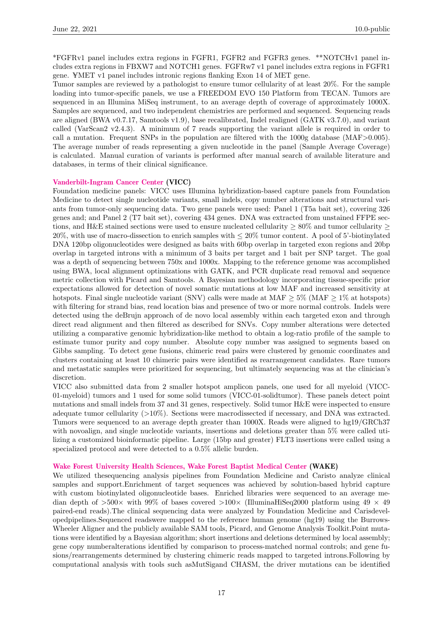\*FGFRv1 panel includes extra regions in FGFR1, FGFR2 and FGFR3 genes. \*\*NOTCHv1 panel includes extra regions in FBXW7 and NOTCH1 genes. FGFRw7 v1 panel includes extra regions in FGFR1 gene. ¥MET v1 panel includes intronic regions flanking Exon 14 of MET gene.

Tumor samples are reviewed by a pathologist to ensure tumor cellularity of at least 20%. For the sample loading into tumor-specific panels, we use a FREEDOM EVO 150 Platform from TECAN. Tumors are sequenced in an Illumina MiSeq instrument, to an average depth of coverage of approximately 1000X. Samples are sequenced, and two independent chemistries are performed and sequenced. Sequencing reads are aligned (BWA v0.7.17, Samtools v1.9), base recalibrated, Indel realigned (GATK v3.7.0), and variant called (VarScan2 v2.4.3). A minimum of 7 reads supporting the variant allele is required in order to call a mutation. Frequent SNPs in the population are filtered with the 1000g database (MAF $>0.005$ ). The average number of reads representing a given nucleotide in the panel (Sample Average Coverage) is calculated. Manual curation of variants is performed after manual search of available literature and databases, in terms of their clinical significance.

#### [Vanderbilt-Ingram Cancer Center](https://www.vicc.org/) (VICC)

Foundation medicine panels: VICC uses Illumina hybridization-based capture panels from Foundation Medicine to detect single nucleotide variants, small indels, copy number alterations and structural variants from tumor-only sequencing data. Two gene panels were used: Panel 1 (T5a bait set), covering 326 genes and; and Panel 2 (T7 bait set), covering 434 genes. DNA was extracted from unstained FFPE sections, and H&E stained sections were used to ensure nucleated cellularity  $\geq 80\%$  and tumor cellularity  $\geq$ 20%, with use of macro-dissection to enrich samples with ≤ 20% tumor content. A pool of 5'-biotinylated DNA 120bp oligonucleotides were designed as baits with 60bp overlap in targeted exon regions and 20bp overlap in targeted introns with a minimum of 3 baits per target and 1 bait per SNP target. The goal was a depth of sequencing between 750x and 1000x. Mapping to the reference genome was accomplished using BWA, local alignment optimizations with GATK, and PCR duplicate read removal and sequence metric collection with Picard and Samtools. A Bayesian methodology incorporating tissue-specific prior expectations allowed for detection of novel somatic mutations at low MAF and increased sensitivity at hotspots. Final single nucleotide variant (SNV) calls were made at MAF  $> 5\%$  (MAF  $> 1\%$  at hotspots) with filtering for strand bias, read location bias and presence of two or more normal controls. Indels were detected using the deBruin approach of de novo local assembly within each targeted exon and through direct read alignment and then filtered as described for SNVs. Copy number alterations were detected utilizing a comparative genomic hybridization-like method to obtain a log-ratio profile of the sample to estimate tumor purity and copy number. Absolute copy number was assigned to segments based on Gibbs sampling. To detect gene fusions, chimeric read pairs were clustered by genomic coordinates and clusters containing at least 10 chimeric pairs were identified as rearrangement candidates. Rare tumors and metastatic samples were prioritized for sequencing, but ultimately sequencing was at the clinician's discretion.

VICC also submitted data from 2 smaller hotspot amplicon panels, one used for all myeloid (VICC-01-myeloid) tumors and 1 used for some solid tumors (VICC-01-solidtumor). These panels detect point mutations and small indels from 37 and 31 genes, respectively. Solid tumor H&E were inspected to ensure adequate tumor cellularity (>10%). Sections were macrodissected if necessary, and DNA was extracted. Tumors were sequenced to an average depth greater than 1000X. Reads were aligned to hg19/GRCh37 with novoalign, and single nucleotide variants, insertions and deletions greater than 5% were called utilizing a customized bioinformatic pipeline. Large (15bp and greater) FLT3 insertions were called using a specialized protocol and were detected to a 0.5% allelic burden.

#### [Wake Forest University Health Sciences, Wake Forest Baptist Medical Center](https://www.wakehealth.edu/) (WAKE)

We utilized thesequencing analysis pipelines from Foundation Medicine and Caristo analyze clinical samples and support.Enrichment of target sequences was achieved by solution-based hybrid capture with custom biotinylated oligonucleotide bases. Enriched libraries were sequenced to an average median depth of  $>500\times$  with 99% of bases covered  $>100\times$  (IlluminaHiSeq2000 platform using 49  $\times$  49 paired-end reads).The clinical sequencing data were analyzed by Foundation Medicine and Carisdevelopedpipelines.Sequenced readswere mapped to the reference human genome (hg19) using the Burrows-Wheeler Aligner and the publicly available SAM tools, Picard, and Genome Analysis Toolkit.Point mutations were identified by a Bayesian algorithm; short insertions and deletions determined by local assembly; gene copy numberalterations identified by comparison to process-matched normal controls; and gene fusions/rearrangements determined by clustering chimeric reads mapped to targeted introns.Following by computational analysis with tools such asMutSigand CHASM, the driver mutations can be identified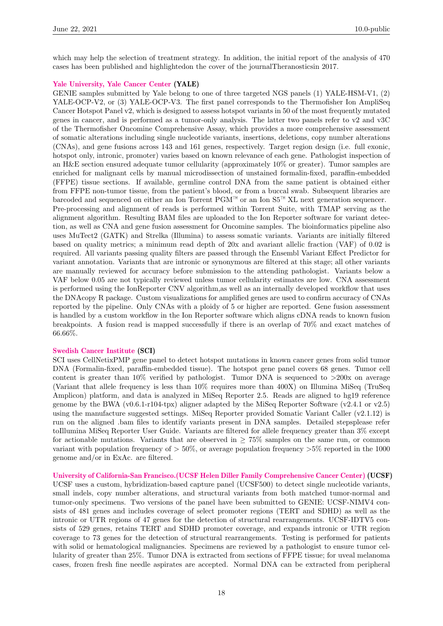which may help the selection of treatment strategy. In addition, the initial report of the analysis of 470 cases has been published and highlightedon the cover of the journalTheranosticsin 2017.

#### [Yale University, Yale Cancer Center](https://www.yale.edu/) (YALE)

GENIE samples submitted by Yale belong to one of three targeted NGS panels (1) YALE-HSM-V1, (2) YALE-OCP-V2, or (3) YALE-OCP-V3. The first panel corresponds to the Thermofisher Ion AmpliSeq Cancer Hotspot Panel v2, which is designed to assess hotspot variants in 50 of the most frequently mutated genes in cancer, and is performed as a tumor-only analysis. The latter two panels refer to v2 and v3C of the Thermofisher Oncomine Comprehensive Assay, which provides a more comprehensive assessment of somatic alterations including single nucleotide variants, insertions, deletions, copy number alterations (CNAs), and gene fusions across 143 and 161 genes, respectively. Target region design (i.e. full exonic, hotspot only, intronic, promoter) varies based on known relevance of each gene. Pathologist inspection of an H&E section ensured adequate tumor cellularity (approximately 10% or greater). Tumor samples are enriched for malignant cells by manual microdissection of unstained formalin-fixed, paraffin-embedded (FFPE) tissue sections. If available, germline control DNA from the same patient is obtained either from FFPE non-tumor tissue, from the patient's blood, or from a buccal swab. Subsequent libraries are barcoded and sequenced on either an Ion Torrent PGM™ or an Ion S5™ XL next generation sequencer. Pre-processing and alignment of reads is performed within Torrent Suite, with TMAP serving as the alignment algorithm. Resulting BAM files are uploaded to the Ion Reporter software for variant detection, as well as CNA and gene fusion assessment for Oncomine samples. The bioinformatics pipeline also uses MuTect2 (GATK) and Strelka (Illumina) to assess somatic variants. Variants are initially filtered based on quality metrics; a minimum read depth of 20x and avariant allelic fraction (VAF) of 0.02 is required. All variants passing quality filters are passed through the Ensembl Variant Effect Predictor for variant annotation. Variants that are intronic or synonymous are filtered at this stage; all other variants are manually reviewed for accuracy before submission to the attending pathologist. Variants below a VAF below 0.05 are not typically reviewed unless tumor cellularity estimates are low. CNA assessment is performed using the IonReporter CNV algorithm,as well as an internally developed workflow that uses the DNAcopy R package. Custom visualizations for amplified genes are used to confirm accuracy of CNAs reported by the pipeline. Only CNAs with a ploidy of 5 or higher are reported. Gene fusion assessment is handled by a custom workflow in the Ion Reporter software which aligns cDNA reads to known fusion breakpoints. A fusion read is mapped successfully if there is an overlap of 70% and exact matches of 66.66%.

#### [Swedish Cancer Institute](https://www.swedish.org/services/cancer-institute) (SCI)

SCI uses CellNetixPMP gene panel to detect hotspot mutations in known cancer genes from solid tumor DNA (Formalin-fixed, paraffin-embedded tissue). The hotspot gene panel covers 68 genes. Tumor cell content is greater than  $10\%$  verified by pathologist. Tumor DNA is sequenced to  $>200x$  on average (Variant that allele frequency is less than 10% requires more than 400X) on Illumina MiSeq (TruSeq Amplicon) platform, and data is analyzed in MiSeq Reporter 2.5. Reads are aligned to hg19 reference genome by the BWA (v0.6.1-r104-tpx) aligner adapted by the MiSeq Reporter Software (v2.4.1 or v2.5) using the manufacture suggested settings. MiSeq Reporter provided Somatic Variant Caller (v2.1.12) is run on the aligned .bam files to identify variants present in DNA samples. Detailed stepsplease refer toIllumina MiSeq Reporter User Guide. Variants are filtered for allele frequency greater than 3% except for actionable mutations. Variants that are observed in  $> 75\%$  samples on the same run, or common variant with population frequency of  $> 50\%$ , or average population frequency  $>5\%$  reported in the 1000 genome and/or in ExAc. are filtered.

[University of California-San Francisco.\(UCSF Helen Diller Family Comprehensive Cancer Center\)](https://cancer.ucsf.edu/) (UCSF) UCSF uses a custom, hybridization-based capture panel (UCSF500) to detect single nucleotide variants, small indels, copy number alterations, and structural variants from both matched tumor-normal and tumor-only specimens. Two versions of the panel have been submitted to GENIE: UCSF-NIMV4 consists of 481 genes and includes coverage of select promoter regions (TERT and SDHD) as well as the intronic or UTR regions of 47 genes for the detection of structural rearrangements. UCSF-IDTV5 consists of 529 genes, retains TERT and SDHD promoter coverage, and expands intronic or UTR region coverage to 73 genes for the detection of structural rearrangements. Testing is performed for patients with solid or hematological malignancies. Specimens are reviewed by a pathologist to ensure tumor cellularity of greater than 25%. Tumor DNA is extracted from sections of FFPE tissue; for uveal melanoma cases, frozen fresh fine needle aspirates are accepted. Normal DNA can be extracted from peripheral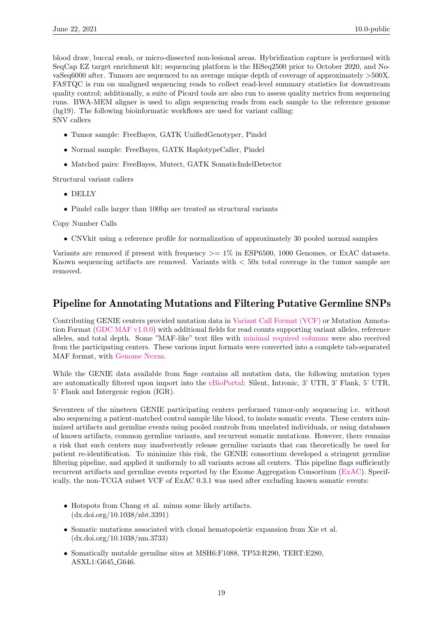blood draw, buccal swab, or micro-dissected non-lesional areas. Hybridization capture is performed with SeqCap EZ target enrichment kit; sequencing platform is the HiSeq2500 prior to October 2020, and NovaSeq6000 after. Tumors are sequenced to an average unique depth of coverage of approximately >500X. FASTQC is run on unaligned sequencing reads to collect read-level summary statistics for downstream quality control; additionally, a suite of Picard tools are also run to assess quality metrics from sequencing runs. BWA-MEM aligner is used to align sequencing reads from each sample to the reference genome (hg19). The following bioinformatic workflows are used for variant calling: SNV callers

- Tumor sample: FreeBayes, GATK UnifiedGenotyper, Pindel
- Normal sample: FreeBayes, GATK HaplotypeCaller, Pindel
- Matched pairs: FreeBayes, Mutect, GATK SomaticIndelDetector

Structural variant callers

- DELLY
- Pindel calls larger than 100bp are treated as structural variants

Copy Number Calls

• CNVkit using a reference profile for normalization of approximately 30 pooled normal samples

Variants are removed if present with frequency  $\geq$  = 1% in ESP6500, 1000 Genomes, or ExAC datasets. Known sequencing artifacts are removed. Variants with < 50x total coverage in the tumor sample are removed.

### <span id="page-18-0"></span>Pipeline for Annotating Mutations and Filtering Putative Germline SNPs

Contributing GENIE centers provided mutation data in [Variant Call Format \(VCF\)](http://samtools.github.io/hts-specs/) or Mutation Annotation Format [\(GDC MAF v1.0.0\)](https://docs.gdc.cancer.gov/Data/File_Formats/MAF_Format) with additional fields for read counts supporting variant alleles, reference alleles, and total depth. Some "MAF-like" text files with [minimal required columns](https://github.com/mskcc/vcf2maf/blob/v1.6.17/data/minimalist_test_maf.tsv) were also received from the participating centers. These various input formats were converted into a complete tab-separated MAF format, with [Genome Nexus.](https://www.genomenexus.org/)

While the GENIE data available from Sage contains all mutation data, the following mutation types are automatically filtered upon import into the [cBioPortal:](http://www.cbioportal.org/genie) Silent, Intronic, 3' UTR, 3' Flank, 5' UTR, 5' Flank and Intergenic region (IGR).

Seventeen of the nineteen GENIE participating centers performed tumor-only sequencing i.e. without also sequencing a patient-matched control sample like blood, to isolate somatic events. These centers minimized artifacts and germline events using pooled controls from unrelated individuals, or using databases of known artifacts, common germline variants, and recurrent somatic mutations. However, there remains a risk that such centers may inadvertently release germline variants that can theoretically be used for patient re-identification. To minimize this risk, the GENIE consortium developed a stringent germline filtering pipeline, and applied it uniformly to all variants across all centers. This pipeline flags sufficiently recurrent artifacts and germline events reported by the Exome Aggregation Consortium [\(ExAC\)](http://exac.broadinstitute.org). Specifically, the non-TCGA subset VCF of ExAC 0.3.1 was used after excluding known somatic events:

- Hotspots from Chang et al. minus some likely artifacts. (dx.doi.org/10.1038/nbt.3391)
- Somatic mutations associated with clonal hematopoietic expansion from Xie et al. (dx.doi.org/10.1038/nm.3733)
- Somatically mutable germline sites at MSH6:F1088, TP53:R290, TERT:E280, ASXL1:G645\_G646.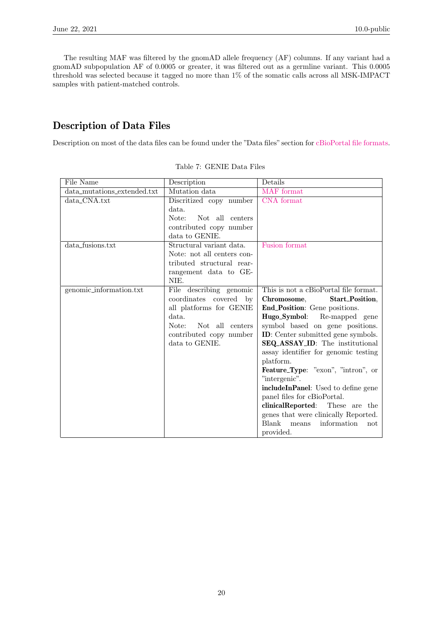The resulting MAF was filtered by the gnomAD allele frequency (AF) columns. If any variant had a gnomAD subpopulation AF of 0.0005 or greater, it was filtered out as a germline variant. This 0.0005 threshold was selected because it tagged no more than  $1\%$  of the somatic calls across all MSK-IMPACT samples with patient-matched controls.

### Description of Data Files

Description on most of the data files can be found under the "Data files" section for [cBioPortal file formats.](https://docs.cbioportal.org/5.1-data-loading/data-loading/file-formats)

<span id="page-19-0"></span>

| Description             | Details                                                                                                                                                                                                                                                                                                                                      |
|-------------------------|----------------------------------------------------------------------------------------------------------------------------------------------------------------------------------------------------------------------------------------------------------------------------------------------------------------------------------------------|
| Mutation data           | MAF format                                                                                                                                                                                                                                                                                                                                   |
| Discritized copy number | CNA format                                                                                                                                                                                                                                                                                                                                   |
| data.                   |                                                                                                                                                                                                                                                                                                                                              |
| Not all centers         |                                                                                                                                                                                                                                                                                                                                              |
|                         |                                                                                                                                                                                                                                                                                                                                              |
|                         |                                                                                                                                                                                                                                                                                                                                              |
|                         | Fusion format                                                                                                                                                                                                                                                                                                                                |
|                         |                                                                                                                                                                                                                                                                                                                                              |
|                         |                                                                                                                                                                                                                                                                                                                                              |
|                         |                                                                                                                                                                                                                                                                                                                                              |
|                         |                                                                                                                                                                                                                                                                                                                                              |
|                         | This is not a cBioPortal file format.                                                                                                                                                                                                                                                                                                        |
|                         | Start_Position,<br>Chromosome,                                                                                                                                                                                                                                                                                                               |
|                         | End_Position: Gene positions.                                                                                                                                                                                                                                                                                                                |
|                         | Hugo_Symbol: Re-mapped gene                                                                                                                                                                                                                                                                                                                  |
|                         | symbol based on gene positions.                                                                                                                                                                                                                                                                                                              |
|                         | <b>ID</b> : Center submitted gene symbols.                                                                                                                                                                                                                                                                                                   |
|                         | SEQ_ASSAY_ID: The institutional                                                                                                                                                                                                                                                                                                              |
|                         | assay identifier for genomic testing<br>platform.                                                                                                                                                                                                                                                                                            |
|                         | <b>Feature_Type:</b> "exon", "intron", or                                                                                                                                                                                                                                                                                                    |
|                         | "intergenic".                                                                                                                                                                                                                                                                                                                                |
|                         | includeInPanel: Used to define gene                                                                                                                                                                                                                                                                                                          |
|                         | panel files for cBioPortal.                                                                                                                                                                                                                                                                                                                  |
|                         | clinicalReported: These are the                                                                                                                                                                                                                                                                                                              |
|                         | genes that were clinically Reported.                                                                                                                                                                                                                                                                                                         |
|                         | Blank<br>information<br>means<br>not                                                                                                                                                                                                                                                                                                         |
|                         | provided.                                                                                                                                                                                                                                                                                                                                    |
|                         | Note:<br>contributed copy number<br>data to GENIE.<br>Structural variant data.<br>Note: not all centers con-<br>tributed structural rear-<br>rangement data to GE-<br>NIE.<br>File describing genomic<br>coordinates covered by<br>all platforms for GENIE<br>data.<br>Note:<br>Not all centers<br>contributed copy number<br>data to GENIE. |

Table 7: GENIE Data Files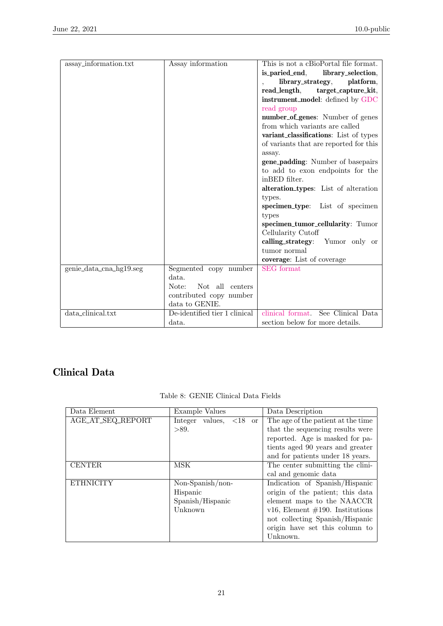| assay_information.txt   | Assay information             | This is not a cBioPortal file format.    |
|-------------------------|-------------------------------|------------------------------------------|
|                         |                               | is_paried_end,<br>library_selection,     |
|                         |                               | library_strategy,<br>platform,           |
|                         |                               | target_capture_kit,<br>read_length,      |
|                         |                               | instrument_model: defined by GDC         |
|                         |                               | read group                               |
|                         |                               | number_of_genes: Number of genes         |
|                         |                               | from which variants are called           |
|                         |                               | variant_classifications: List of types   |
|                         |                               | of variants that are reported for this   |
|                         |                               | assay.                                   |
|                         |                               | <b>gene_padding:</b> Number of basepairs |
|                         |                               | to add to exon endpoints for the         |
|                         |                               | inBED filter.                            |
|                         |                               | alteration_types: List of alteration     |
|                         |                               | types.                                   |
|                         |                               | specimen_type: List of specimen          |
|                         |                               | types                                    |
|                         |                               | specimen_tumor_cellularity: Tumor        |
|                         |                               | Cellularity Cutoff                       |
|                         |                               | calling_strategy:<br>Yumor only or       |
|                         |                               | tumor normal                             |
|                         |                               | coverage: List of coverage               |
| genie_data_cna_hg19.seg | Segmented copy number         | <b>SEG</b> format                        |
|                         | data.                         |                                          |
|                         | Note:<br>Not all centers      |                                          |
|                         | contributed copy number       |                                          |
|                         | data to GENIE.                |                                          |
| data_clinical.txt       | De-identified tier 1 clinical | See Clinical Data<br>clinical format     |
|                         | data.                         | section below for more details.          |

## Clinical Data

| Data Element      | Example Values                                        | Data Description                    |
|-------------------|-------------------------------------------------------|-------------------------------------|
| AGE_AT_SEQ_REPORT | Integer values, $\langle 18 \rangle$<br><sub>or</sub> | The age of the patient at the time  |
|                   | >89.                                                  | that the sequencing results were    |
|                   |                                                       | reported. Age is masked for pa-     |
|                   |                                                       | tients aged 90 years and greater    |
|                   |                                                       | and for patients under 18 years.    |
| <b>CENTER</b>     | MSK                                                   | The center submitting the clini-    |
|                   |                                                       | cal and genomic data                |
| <b>ETHNICITY</b>  | Non-Spanish/non-                                      | Indication of Spanish/Hispanic      |
|                   | Hispanic                                              | origin of the patient; this data    |
|                   | Spanish/Hispanic                                      | element maps to the NAACCR          |
|                   | Unknown                                               | v16, Element $\#190$ . Institutions |
|                   |                                                       | not collecting Spanish/Hispanic     |
|                   |                                                       | origin have set this column to      |
|                   |                                                       | Unknown.                            |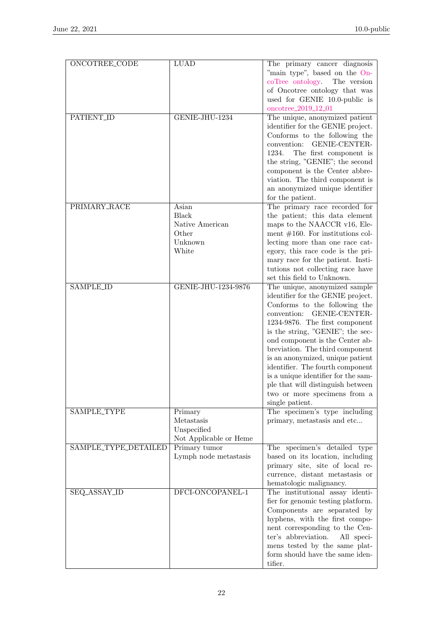| <b>ONCOTREE_CODE</b> | <b>LUAD</b>            | The primary cancer diagnosis         |
|----------------------|------------------------|--------------------------------------|
|                      |                        | "main type", based on the On-        |
|                      |                        | coTree ontology. The version         |
|                      |                        | of Oncotree ontology that was        |
|                      |                        | used for GENIE 10.0-public is        |
|                      |                        | oncotree_2019_12_01                  |
| <b>PATIENT_ID</b>    | GENIE-JHU-1234         |                                      |
|                      |                        | The unique, anonymized patient       |
|                      |                        | identifier for the GENIE project.    |
|                      |                        | Conforms to the following the        |
|                      |                        | convention: GENIE-CENTER-            |
|                      |                        | 1234.<br>The first component is      |
|                      |                        | the string, "GENIE"; the second      |
|                      |                        | component is the Center abbre-       |
|                      |                        | viation. The third component is      |
|                      |                        | an anonymized unique identifier      |
|                      |                        | for the patient.                     |
| PRIMARY_RACE         | Asian                  | The primary race recorded for        |
|                      | <b>Black</b>           | the patient; this data element       |
|                      | Native American        | maps to the NAACCR v16, Ele-         |
|                      | Other                  | ment $\#160$ . For institutions col- |
|                      | Unknown                | lecting more than one race cat-      |
|                      | White                  | egory, this race code is the pri-    |
|                      |                        |                                      |
|                      |                        | mary race for the patient. Insti-    |
|                      |                        | tutions not collecting race have     |
|                      |                        | set this field to Unknown.           |
| <b>SAMPLE_ID</b>     | GENIE-JHU-1234-9876    | The unique, anonymized sample        |
|                      |                        | identifier for the GENIE project.    |
|                      |                        | Conforms to the following the        |
|                      |                        | convention: GENIE-CENTER-            |
|                      |                        | 1234-9876. The first component       |
|                      |                        | is the string, "GENIE"; the sec-     |
|                      |                        | ond component is the Center ab-      |
|                      |                        | breviation. The third component      |
|                      |                        | is an anonymized, unique patient     |
|                      |                        | identifier. The fourth component     |
|                      |                        | is a unique identifier for the sam-  |
|                      |                        | ple that will distinguish between    |
|                      |                        | two or more specimens from a         |
|                      |                        | single patient.                      |
| SAMPLE_TYPE          | Primary                | The specimen's type including        |
|                      | Metastasis             | primary, metastasis and etc          |
|                      | Unspecified            |                                      |
|                      | Not Applicable or Heme |                                      |
| SAMPLE_TYPE_DETAILED | Primary tumor          | The specimen's detailed type         |
|                      | Lymph node metastasis  | based on its location, including     |
|                      |                        | primary site, site of local re-      |
|                      |                        |                                      |
|                      |                        | currence, distant metastasis or      |
|                      |                        | hematologic malignancy.              |
| SEQ_ASSAY_ID         | DFCI-ONCOPANEL-1       | The institutional assay identi-      |
|                      |                        | fier for genomic testing platform.   |
|                      |                        | Components are separated by          |
|                      |                        | hyphens, with the first compo-       |
|                      |                        | nent corresponding to the Cen-       |
|                      |                        | ter's abbreviation.<br>All speci-    |
|                      |                        | mens tested by the same plat-        |
|                      |                        | form should have the same iden-      |
|                      |                        | tifier.                              |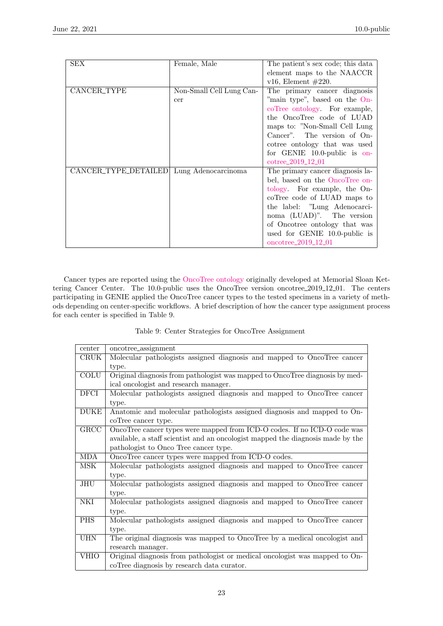| <b>SEX</b>           | Female, Male             | The patient's sex code; this data |
|----------------------|--------------------------|-----------------------------------|
|                      |                          | element maps to the NAACCR        |
|                      |                          | v16, Element $\#220$ .            |
| CANCER_TYPE          | Non-Small Cell Lung Can- | The primary cancer diagnosis      |
|                      | cer                      | "main type", based on the On-     |
|                      |                          | coTree ontology. For example,     |
|                      |                          | the OncoTree code of LUAD         |
|                      |                          | maps to: "Non-Small Cell Lung"    |
|                      |                          | Cancer". The version of On-       |
|                      |                          | cotree ontology that was used     |
|                      |                          | for GENIE $10.0$ -public is on-   |
|                      |                          | cotree_2019_12_01                 |
| CANCER_TYPE_DETAILED | Lung Adenocarcinoma      | The primary cancer diagnosis la-  |
|                      |                          | bel, based on the OncoTree on-    |
|                      |                          | tology. For example, the On-      |
|                      |                          | coorree code of LUAD maps to      |
|                      |                          | the label: "Lung Adenocarci-      |
|                      |                          | noma (LUAD)". The version         |
|                      |                          | of Oncotree ontology that was     |
|                      |                          | used for GENIE 10.0-public is     |
|                      |                          | oncotree_ $2019\_12\_01$          |

Cancer types are reported using the [OncoTree ontology](http://oncotree.mskcc.org) originally developed at Memorial Sloan Kettering Cancer Center. The 10.0-public uses the OncoTree version oncotree 2019 12 01. The centers participating in GENIE applied the OncoTree cancer types to the tested specimens in a variety of methods depending on center-specific workflows. A brief description of how the cancer type assignment process for each center is specified in Table 9.

|  |  |  |  |  | Table 9: Center Strategies for OncoTree Assignment |
|--|--|--|--|--|----------------------------------------------------|
|--|--|--|--|--|----------------------------------------------------|

<span id="page-22-0"></span>

| center                  | oncotree_assignment                                                             |
|-------------------------|---------------------------------------------------------------------------------|
| CRUK                    | Molecular pathologists assigned diagnosis and mapped to OncoTree cancer         |
|                         | type.                                                                           |
| <b>COLU</b>             | Original diagnosis from pathologist was mapped to OncoTree diagnosis by med-    |
|                         | ical oncologist and research manager.                                           |
| <b>DFCI</b>             | Molecular pathologists assigned diagnosis and mapped to OncoTree cancer         |
|                         | type.                                                                           |
| <b>DUKE</b>             | Anatomic and molecular pathologists assigned diagnosis and mapped to On-        |
|                         | coTree cancer type.                                                             |
| GRCC                    | OncoTree cancer types were mapped from ICD-O codes. If no ICD-O code was        |
|                         | available, a staff scientist and an oncologist mapped the diagnosis made by the |
|                         | pathologist to Onco Tree cancer type.                                           |
| <b>MDA</b>              | OncoTree cancer types were mapped from ICD-O codes.                             |
| $\overline{\text{MSK}}$ | Molecular pathologists assigned diagnosis and mapped to OncoTree cancer         |
|                         | type.                                                                           |
| JHU                     | Molecular pathologists assigned diagnosis and mapped to OncoTree cancer         |
|                         | type.                                                                           |
| NKI                     | Molecular pathologists assigned diagnosis and mapped to OncoTree cancer         |
|                         | type.                                                                           |
| <b>PHS</b>              | Molecular pathologists assigned diagnosis and mapped to OncoTree cancer         |
|                         | type.                                                                           |
| <b>UHN</b>              | The original diagnosis was mapped to OncoTree by a medical oncologist and       |
|                         | research manager.                                                               |
| <b>VHIO</b>             | Original diagnosis from pathologist or medical oncologist was mapped to On-     |
|                         | coTree diagnosis by research data curator.                                      |